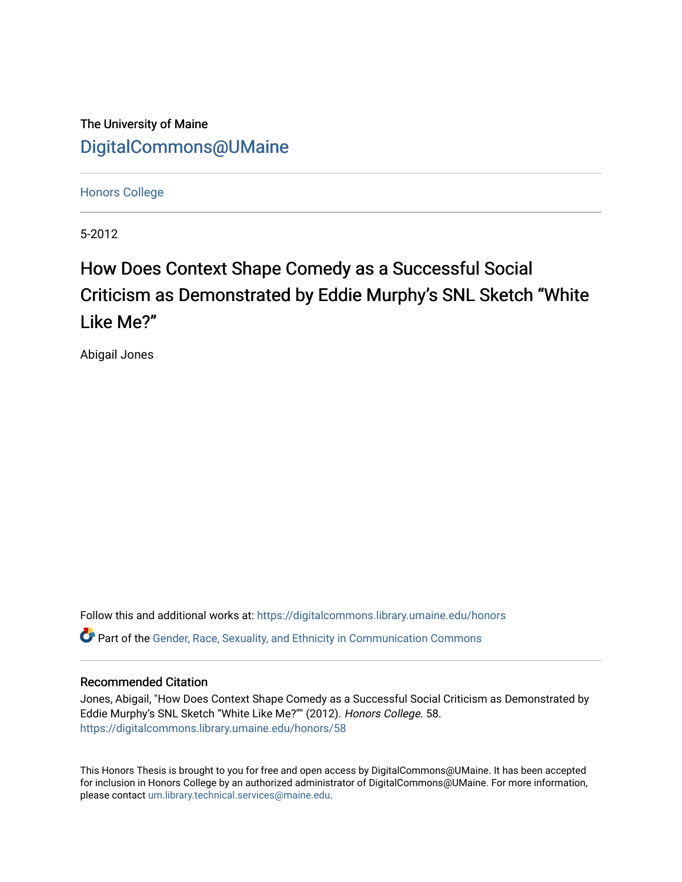The University of Maine [DigitalCommons@UMaine](https://digitalcommons.library.umaine.edu/)

[Honors College](https://digitalcommons.library.umaine.edu/honors)

5-2012

# How Does Context Shape Comedy as a Successful Social Criticism as Demonstrated by Eddie Murphy's SNL Sketch "White Like Me?"

Abigail Jones

Follow this and additional works at: [https://digitalcommons.library.umaine.edu/honors](https://digitalcommons.library.umaine.edu/honors?utm_source=digitalcommons.library.umaine.edu%2Fhonors%2F58&utm_medium=PDF&utm_campaign=PDFCoverPages)  **C** Part of the Gender, Race, Sexuality, and Ethnicity in Communication Commons

## Recommended Citation

Jones, Abigail, "How Does Context Shape Comedy as a Successful Social Criticism as Demonstrated by Eddie Murphy's SNL Sketch "White Like Me?"" (2012). Honors College. 58. [https://digitalcommons.library.umaine.edu/honors/58](https://digitalcommons.library.umaine.edu/honors/58?utm_source=digitalcommons.library.umaine.edu%2Fhonors%2F58&utm_medium=PDF&utm_campaign=PDFCoverPages) 

This Honors Thesis is brought to you for free and open access by DigitalCommons@UMaine. It has been accepted for inclusion in Honors College by an authorized administrator of DigitalCommons@UMaine. For more information, please contact [um.library.technical.services@maine.edu.](mailto:um.library.technical.services@maine.edu)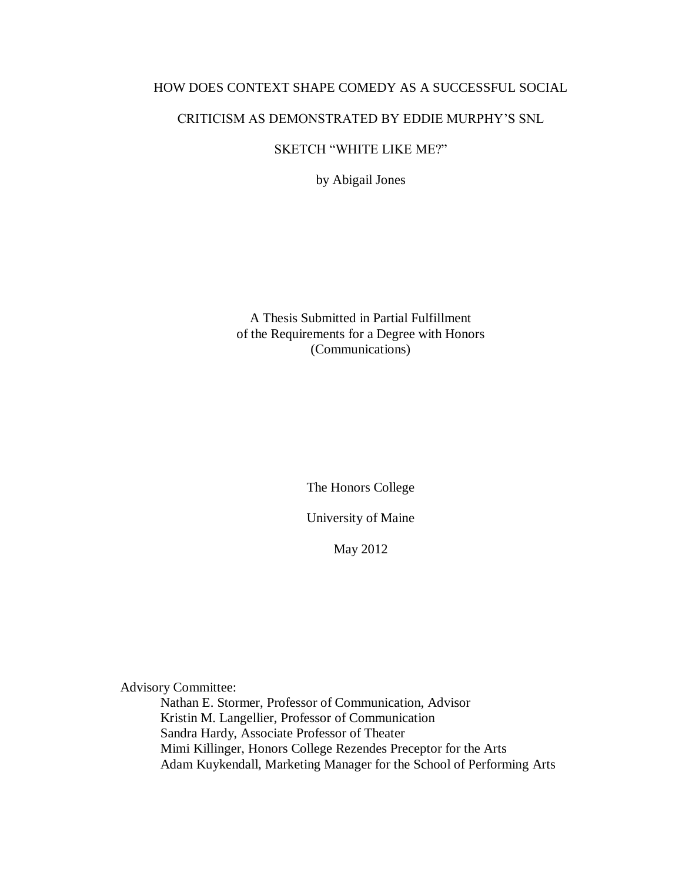## HOW DOES CONTEXT SHAPE COMEDY AS A SUCCESSFUL SOCIAL

## CRITICISM AS DEMONSTRATED BY EDDIE MURPHY'S SNL

## SKETCH "WHITE LIKE ME?"

by Abigail Jones

A Thesis Submitted in Partial Fulfillment of the Requirements for a Degree with Honors (Communications)

The Honors College

University of Maine

May 2012

Advisory Committee:

Nathan E. Stormer, Professor of Communication, Advisor Kristin M. Langellier, Professor of Communication Sandra Hardy, Associate Professor of Theater Mimi Killinger, Honors College Rezendes Preceptor for the Arts Adam Kuykendall, Marketing Manager for the School of Performing Arts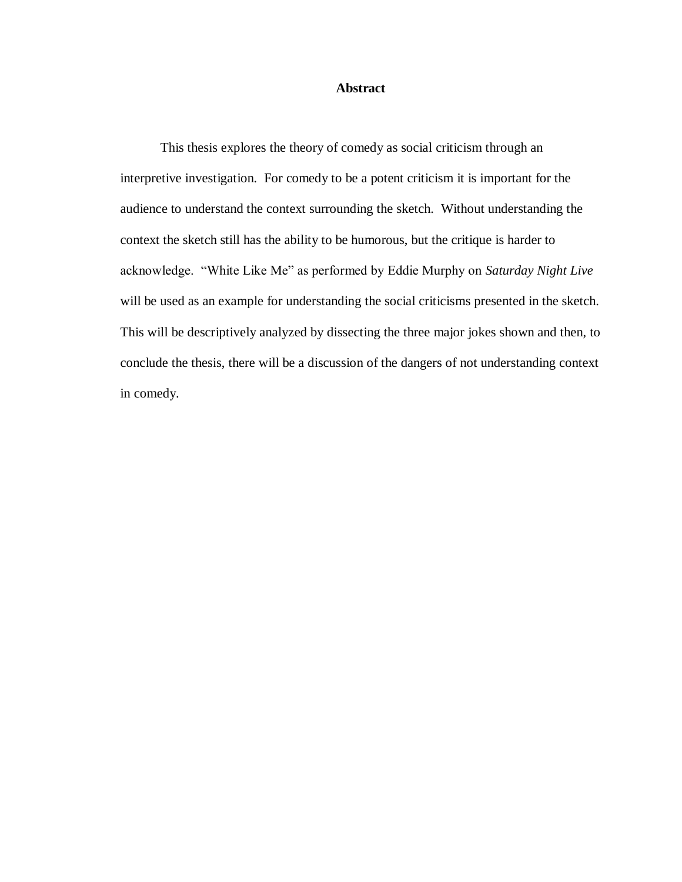## **Abstract**

This thesis explores the theory of comedy as social criticism through an interpretive investigation. For comedy to be a potent criticism it is important for the audience to understand the context surrounding the sketch. Without understanding the context the sketch still has the ability to be humorous, but the critique is harder to acknowledge. "White Like Me" as performed by Eddie Murphy on *Saturday Night Live*  will be used as an example for understanding the social criticisms presented in the sketch. This will be descriptively analyzed by dissecting the three major jokes shown and then, to conclude the thesis, there will be a discussion of the dangers of not understanding context in comedy.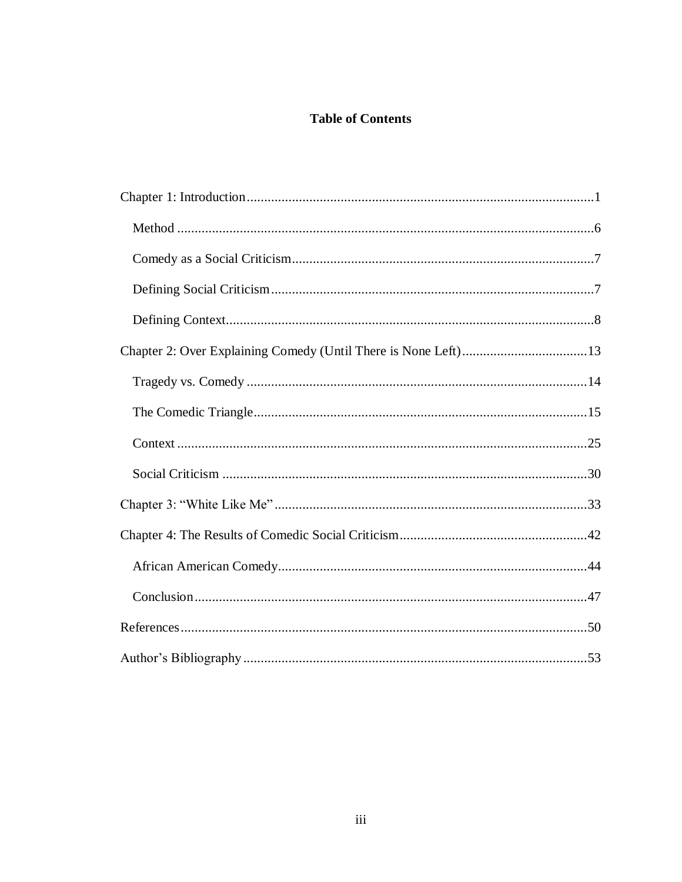## **Table of Contents**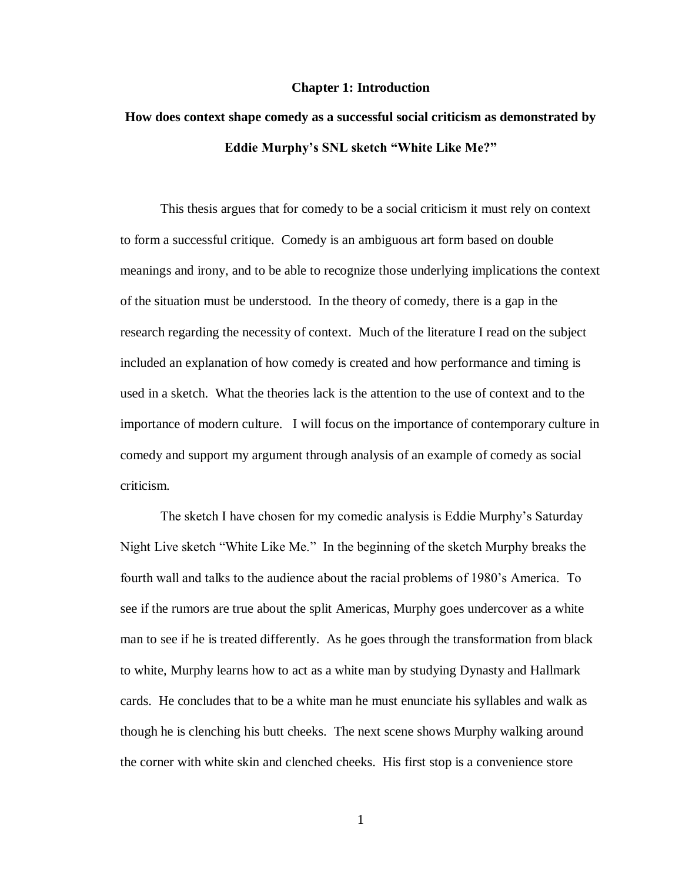## **Chapter 1: Introduction**

## <span id="page-4-0"></span>**How does context shape comedy as a successful social criticism as demonstrated by Eddie Murphy's SNL sketch "White Like Me?"**

This thesis argues that for comedy to be a social criticism it must rely on context to form a successful critique. Comedy is an ambiguous art form based on double meanings and irony, and to be able to recognize those underlying implications the context of the situation must be understood. In the theory of comedy, there is a gap in the research regarding the necessity of context. Much of the literature I read on the subject included an explanation of how comedy is created and how performance and timing is used in a sketch. What the theories lack is the attention to the use of context and to the importance of modern culture. I will focus on the importance of contemporary culture in comedy and support my argument through analysis of an example of comedy as social criticism.

The sketch I have chosen for my comedic analysis is Eddie Murphy's Saturday Night Live sketch "White Like Me." In the beginning of the sketch Murphy breaks the fourth wall and talks to the audience about the racial problems of 1980's America. To see if the rumors are true about the split Americas, Murphy goes undercover as a white man to see if he is treated differently. As he goes through the transformation from black to white, Murphy learns how to act as a white man by studying Dynasty and Hallmark cards. He concludes that to be a white man he must enunciate his syllables and walk as though he is clenching his butt cheeks. The next scene shows Murphy walking around the corner with white skin and clenched cheeks. His first stop is a convenience store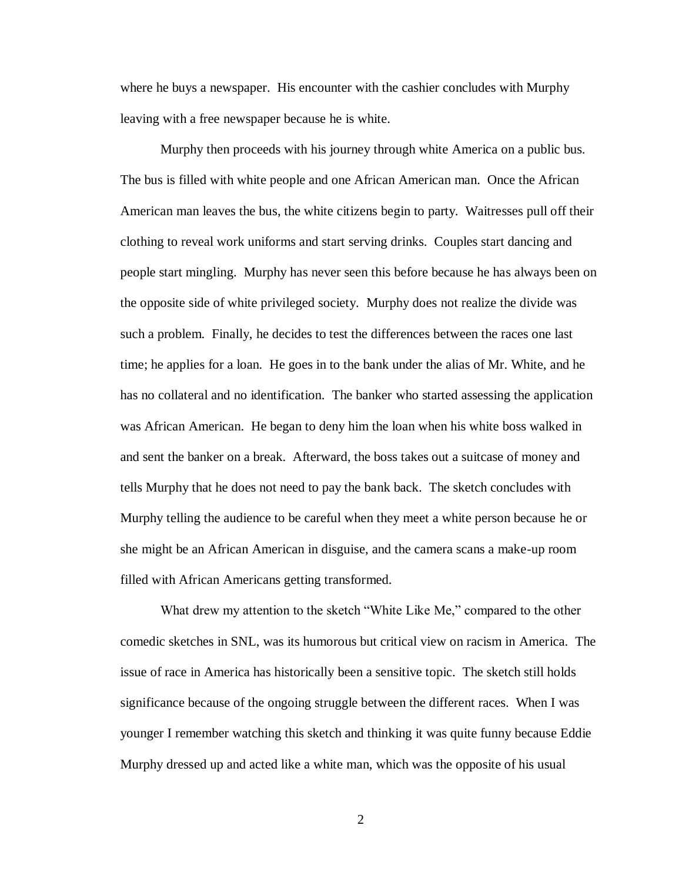where he buys a newspaper. His encounter with the cashier concludes with Murphy leaving with a free newspaper because he is white.

Murphy then proceeds with his journey through white America on a public bus. The bus is filled with white people and one African American man. Once the African American man leaves the bus, the white citizens begin to party. Waitresses pull off their clothing to reveal work uniforms and start serving drinks. Couples start dancing and people start mingling. Murphy has never seen this before because he has always been on the opposite side of white privileged society. Murphy does not realize the divide was such a problem. Finally, he decides to test the differences between the races one last time; he applies for a loan. He goes in to the bank under the alias of Mr. White, and he has no collateral and no identification. The banker who started assessing the application was African American. He began to deny him the loan when his white boss walked in and sent the banker on a break. Afterward, the boss takes out a suitcase of money and tells Murphy that he does not need to pay the bank back. The sketch concludes with Murphy telling the audience to be careful when they meet a white person because he or she might be an African American in disguise, and the camera scans a make-up room filled with African Americans getting transformed.

What drew my attention to the sketch "White Like Me," compared to the other comedic sketches in SNL, was its humorous but critical view on racism in America. The issue of race in America has historically been a sensitive topic. The sketch still holds significance because of the ongoing struggle between the different races. When I was younger I remember watching this sketch and thinking it was quite funny because Eddie Murphy dressed up and acted like a white man, which was the opposite of his usual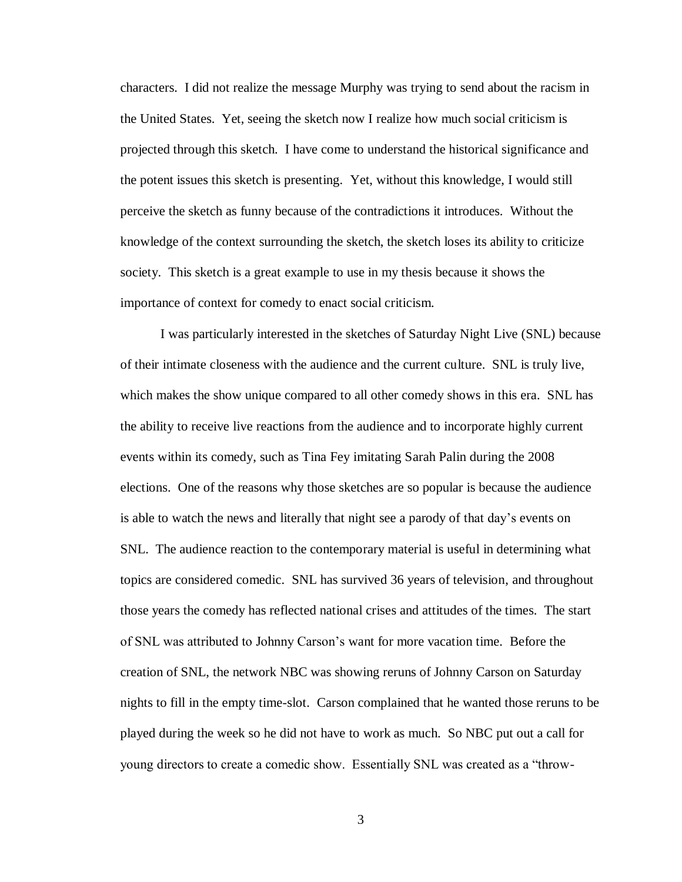characters. I did not realize the message Murphy was trying to send about the racism in the United States. Yet, seeing the sketch now I realize how much social criticism is projected through this sketch. I have come to understand the historical significance and the potent issues this sketch is presenting. Yet, without this knowledge, I would still perceive the sketch as funny because of the contradictions it introduces. Without the knowledge of the context surrounding the sketch, the sketch loses its ability to criticize society. This sketch is a great example to use in my thesis because it shows the importance of context for comedy to enact social criticism.

I was particularly interested in the sketches of Saturday Night Live (SNL) because of their intimate closeness with the audience and the current culture. SNL is truly live, which makes the show unique compared to all other comedy shows in this era. SNL has the ability to receive live reactions from the audience and to incorporate highly current events within its comedy, such as Tina Fey imitating Sarah Palin during the 2008 elections. One of the reasons why those sketches are so popular is because the audience is able to watch the news and literally that night see a parody of that day's events on SNL. The audience reaction to the contemporary material is useful in determining what topics are considered comedic. SNL has survived 36 years of television, and throughout those years the comedy has reflected national crises and attitudes of the times. The start of SNL was attributed to Johnny Carson's want for more vacation time. Before the creation of SNL, the network NBC was showing reruns of Johnny Carson on Saturday nights to fill in the empty time-slot. Carson complained that he wanted those reruns to be played during the week so he did not have to work as much. So NBC put out a call for young directors to create a comedic show. Essentially SNL was created as a "throw-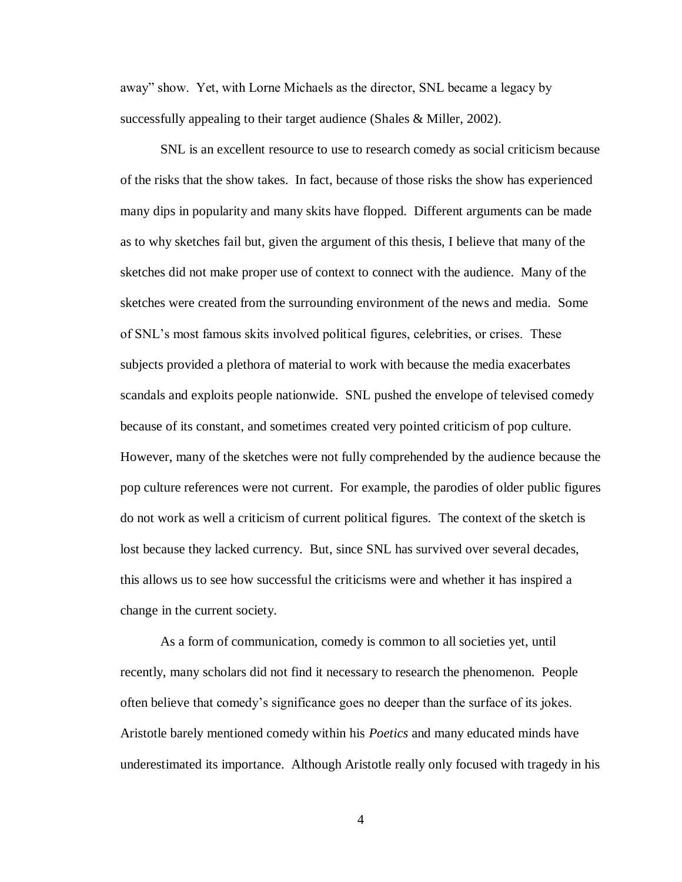away" show. Yet, with Lorne Michaels as the director, SNL became a legacy by successfully appealing to their target audience (Shales & Miller, 2002).

SNL is an excellent resource to use to research comedy as social criticism because of the risks that the show takes. In fact, because of those risks the show has experienced many dips in popularity and many skits have flopped. Different arguments can be made as to why sketches fail but, given the argument of this thesis, I believe that many of the sketches did not make proper use of context to connect with the audience. Many of the sketches were created from the surrounding environment of the news and media. Some of SNL's most famous skits involved political figures, celebrities, or crises. These subjects provided a plethora of material to work with because the media exacerbates scandals and exploits people nationwide. SNL pushed the envelope of televised comedy because of its constant, and sometimes created very pointed criticism of pop culture. However, many of the sketches were not fully comprehended by the audience because the pop culture references were not current. For example, the parodies of older public figures do not work as well a criticism of current political figures. The context of the sketch is lost because they lacked currency. But, since SNL has survived over several decades, this allows us to see how successful the criticisms were and whether it has inspired a change in the current society.

As a form of communication, comedy is common to all societies yet, until recently, many scholars did not find it necessary to research the phenomenon. People often believe that comedy's significance goes no deeper than the surface of its jokes. Aristotle barely mentioned comedy within his *Poetics* and many educated minds have underestimated its importance. Although Aristotle really only focused with tragedy in his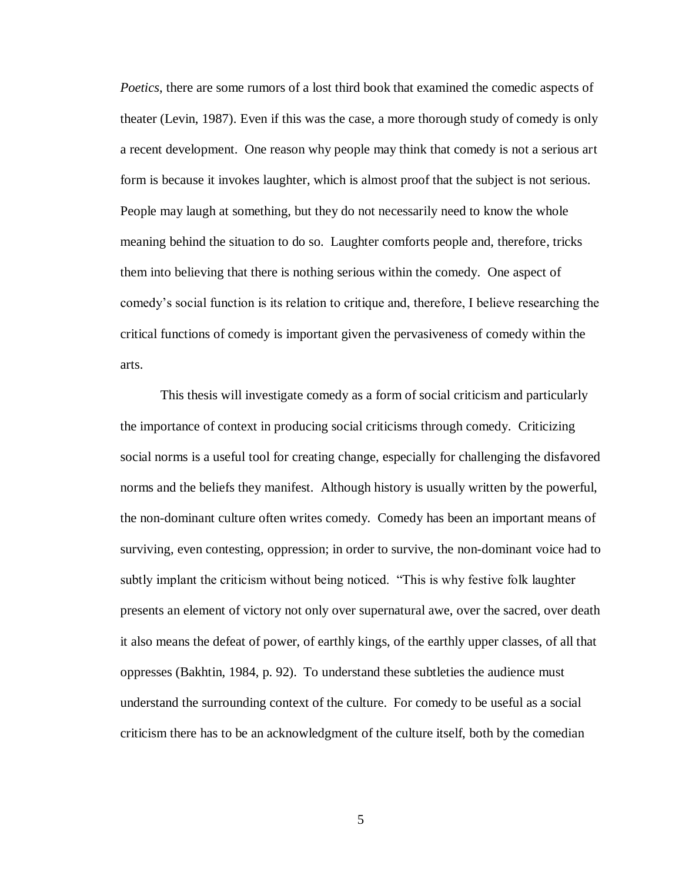*Poetics*, there are some rumors of a lost third book that examined the comedic aspects of theater (Levin, 1987). Even if this was the case, a more thorough study of comedy is only a recent development. One reason why people may think that comedy is not a serious art form is because it invokes laughter, which is almost proof that the subject is not serious. People may laugh at something, but they do not necessarily need to know the whole meaning behind the situation to do so. Laughter comforts people and, therefore, tricks them into believing that there is nothing serious within the comedy. One aspect of comedy's social function is its relation to critique and, therefore, I believe researching the critical functions of comedy is important given the pervasiveness of comedy within the arts.

This thesis will investigate comedy as a form of social criticism and particularly the importance of context in producing social criticisms through comedy. Criticizing social norms is a useful tool for creating change, especially for challenging the disfavored norms and the beliefs they manifest. Although history is usually written by the powerful, the non-dominant culture often writes comedy. Comedy has been an important means of surviving, even contesting, oppression; in order to survive, the non-dominant voice had to subtly implant the criticism without being noticed. "This is why festive folk laughter presents an element of victory not only over supernatural awe, over the sacred, over death it also means the defeat of power, of earthly kings, of the earthly upper classes, of all that oppresses (Bakhtin, 1984, p. 92). To understand these subtleties the audience must understand the surrounding context of the culture. For comedy to be useful as a social criticism there has to be an acknowledgment of the culture itself, both by the comedian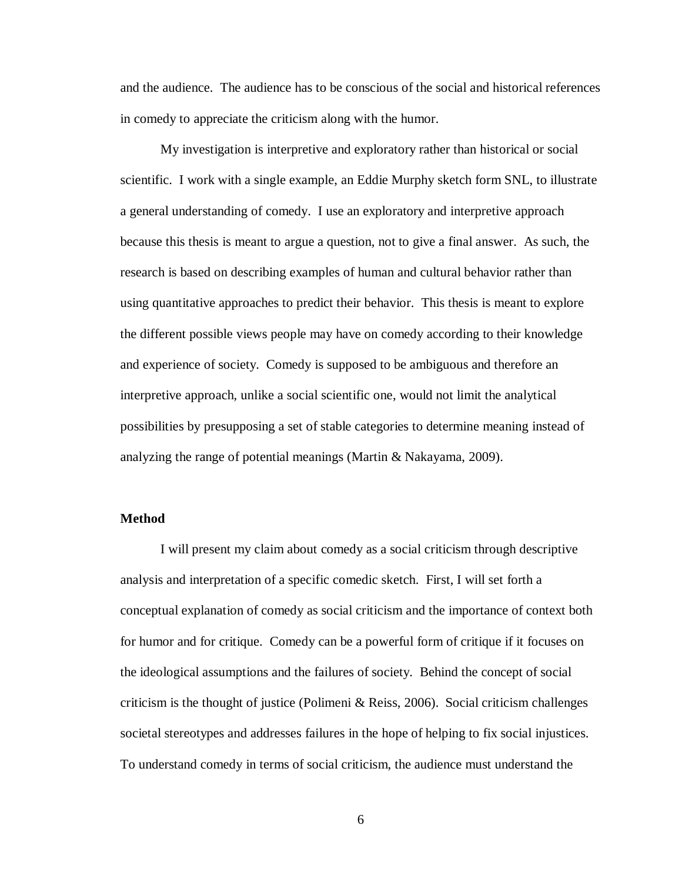and the audience. The audience has to be conscious of the social and historical references in comedy to appreciate the criticism along with the humor.

My investigation is interpretive and exploratory rather than historical or social scientific. I work with a single example, an Eddie Murphy sketch form SNL, to illustrate a general understanding of comedy. I use an exploratory and interpretive approach because this thesis is meant to argue a question, not to give a final answer. As such, the research is based on describing examples of human and cultural behavior rather than using quantitative approaches to predict their behavior. This thesis is meant to explore the different possible views people may have on comedy according to their knowledge and experience of society. Comedy is supposed to be ambiguous and therefore an interpretive approach, unlike a social scientific one, would not limit the analytical possibilities by presupposing a set of stable categories to determine meaning instead of analyzing the range of potential meanings (Martin & Nakayama, 2009).

#### <span id="page-9-0"></span>**Method**

I will present my claim about comedy as a social criticism through descriptive analysis and interpretation of a specific comedic sketch. First, I will set forth a conceptual explanation of comedy as social criticism and the importance of context both for humor and for critique. Comedy can be a powerful form of critique if it focuses on the ideological assumptions and the failures of society. Behind the concept of social criticism is the thought of justice (Polimeni & Reiss, 2006). Social criticism challenges societal stereotypes and addresses failures in the hope of helping to fix social injustices. To understand comedy in terms of social criticism, the audience must understand the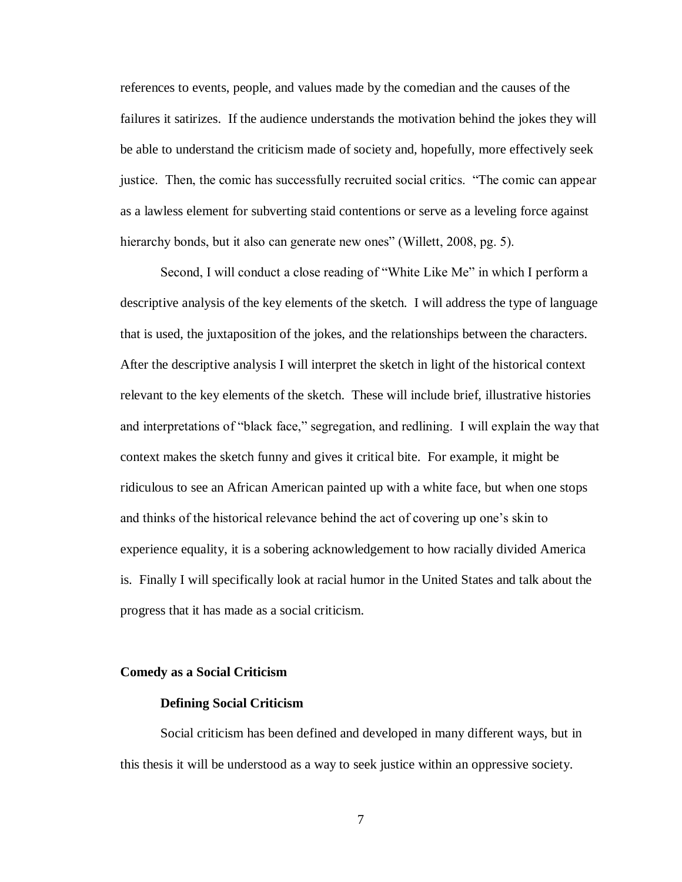references to events, people, and values made by the comedian and the causes of the failures it satirizes. If the audience understands the motivation behind the jokes they will be able to understand the criticism made of society and, hopefully, more effectively seek justice. Then, the comic has successfully recruited social critics. "The comic can appear as a lawless element for subverting staid contentions or serve as a leveling force against hierarchy bonds, but it also can generate new ones" (Willett, 2008, pg. 5).

Second, I will conduct a close reading of "White Like Me" in which I perform a descriptive analysis of the key elements of the sketch. I will address the type of language that is used, the juxtaposition of the jokes, and the relationships between the characters. After the descriptive analysis I will interpret the sketch in light of the historical context relevant to the key elements of the sketch. These will include brief, illustrative histories and interpretations of "black face," segregation, and redlining. I will explain the way that context makes the sketch funny and gives it critical bite. For example, it might be ridiculous to see an African American painted up with a white face, but when one stops and thinks of the historical relevance behind the act of covering up one's skin to experience equality, it is a sobering acknowledgement to how racially divided America is. Finally I will specifically look at racial humor in the United States and talk about the progress that it has made as a social criticism.

#### <span id="page-10-1"></span><span id="page-10-0"></span>**Comedy as a Social Criticism**

#### **Defining Social Criticism**

Social criticism has been defined and developed in many different ways, but in this thesis it will be understood as a way to seek justice within an oppressive society.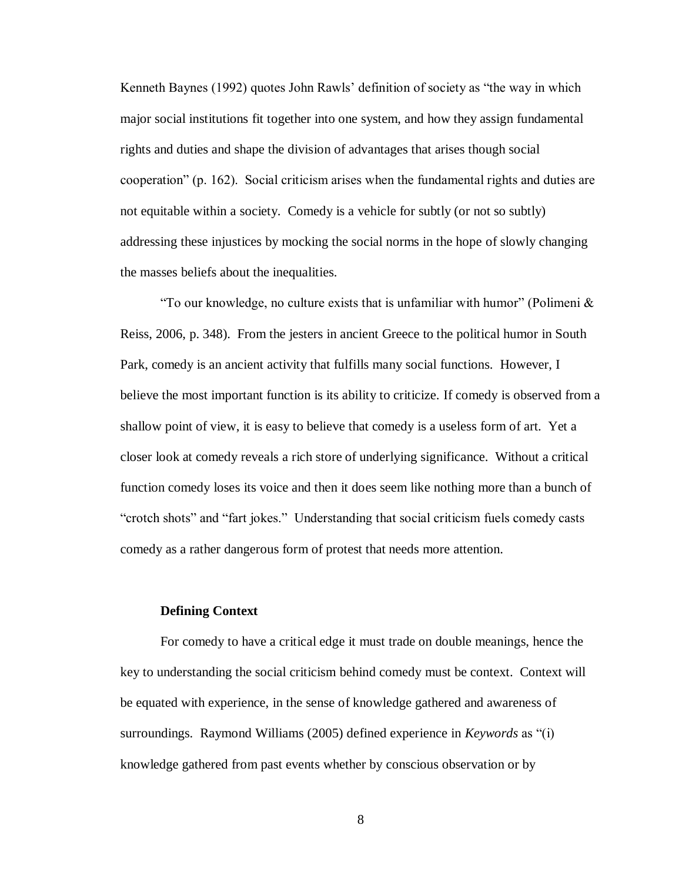Kenneth Baynes (1992) quotes John Rawls' definition of society as "the way in which major social institutions fit together into one system, and how they assign fundamental rights and duties and shape the division of advantages that arises though social cooperation" (p. 162). Social criticism arises when the fundamental rights and duties are not equitable within a society. Comedy is a vehicle for subtly (or not so subtly) addressing these injustices by mocking the social norms in the hope of slowly changing the masses beliefs about the inequalities.

"To our knowledge, no culture exists that is unfamiliar with humor" (Polimeni  $\&$ Reiss, 2006, p. 348). From the jesters in ancient Greece to the political humor in South Park, comedy is an ancient activity that fulfills many social functions. However, I believe the most important function is its ability to criticize. If comedy is observed from a shallow point of view, it is easy to believe that comedy is a useless form of art. Yet a closer look at comedy reveals a rich store of underlying significance. Without a critical function comedy loses its voice and then it does seem like nothing more than a bunch of "crotch shots" and "fart jokes." Understanding that social criticism fuels comedy casts comedy as a rather dangerous form of protest that needs more attention.

#### **Defining Context**

<span id="page-11-0"></span>For comedy to have a critical edge it must trade on double meanings, hence the key to understanding the social criticism behind comedy must be context. Context will be equated with experience, in the sense of knowledge gathered and awareness of surroundings. Raymond Williams (2005) defined experience in *Keywords* as "(i) knowledge gathered from past events whether by conscious observation or by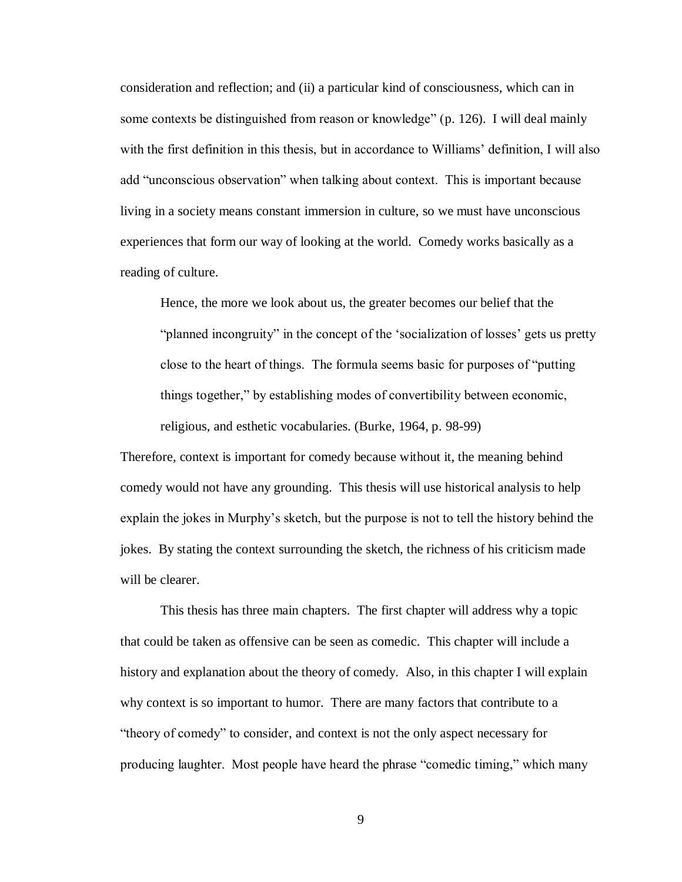consideration and reflection; and (ii) a particular kind of consciousness, which can in some contexts be distinguished from reason or knowledge" (p. 126). I will deal mainly with the first definition in this thesis, but in accordance to Williams' definition, I will also add "unconscious observation" when talking about context. This is important because living in a society means constant immersion in culture, so we must have unconscious experiences that form our way of looking at the world. Comedy works basically as a reading of culture.

Hence, the more we look about us, the greater becomes our belief that the "planned incongruity" in the concept of the 'socialization of losses' gets us pretty close to the heart of things. The formula seems basic for purposes of "putting things together," by establishing modes of convertibility between economic, religious, and esthetic vocabularies. (Burke, 1964, p. 98-99)

Therefore, context is important for comedy because without it, the meaning behind comedy would not have any grounding. This thesis will use historical analysis to help explain the jokes in Murphy's sketch, but the purpose is not to tell the history behind the jokes. By stating the context surrounding the sketch, the richness of his criticism made will be clearer.

This thesis has three main chapters. The first chapter will address why a topic that could be taken as offensive can be seen as comedic. This chapter will include a history and explanation about the theory of comedy. Also, in this chapter I will explain why context is so important to humor. There are many factors that contribute to a "theory of comedy" to consider, and context is not the only aspect necessary for producing laughter. Most people have heard the phrase "comedic timing," which many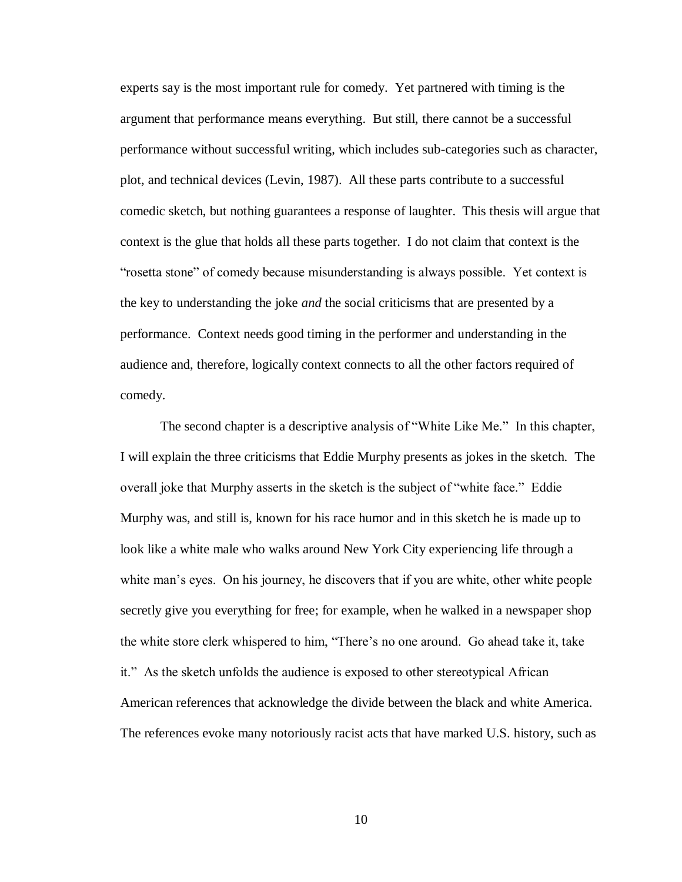experts say is the most important rule for comedy. Yet partnered with timing is the argument that performance means everything. But still, there cannot be a successful performance without successful writing, which includes sub-categories such as character, plot, and technical devices (Levin, 1987). All these parts contribute to a successful comedic sketch, but nothing guarantees a response of laughter. This thesis will argue that context is the glue that holds all these parts together. I do not claim that context is the "rosetta stone" of comedy because misunderstanding is always possible. Yet context is the key to understanding the joke *and* the social criticisms that are presented by a performance. Context needs good timing in the performer and understanding in the audience and, therefore, logically context connects to all the other factors required of comedy.

The second chapter is a descriptive analysis of "White Like Me." In this chapter, I will explain the three criticisms that Eddie Murphy presents as jokes in the sketch. The overall joke that Murphy asserts in the sketch is the subject of "white face." Eddie Murphy was, and still is, known for his race humor and in this sketch he is made up to look like a white male who walks around New York City experiencing life through a white man's eyes. On his journey, he discovers that if you are white, other white people secretly give you everything for free; for example, when he walked in a newspaper shop the white store clerk whispered to him, "There's no one around. Go ahead take it, take it." As the sketch unfolds the audience is exposed to other stereotypical African American references that acknowledge the divide between the black and white America. The references evoke many notoriously racist acts that have marked U.S. history, such as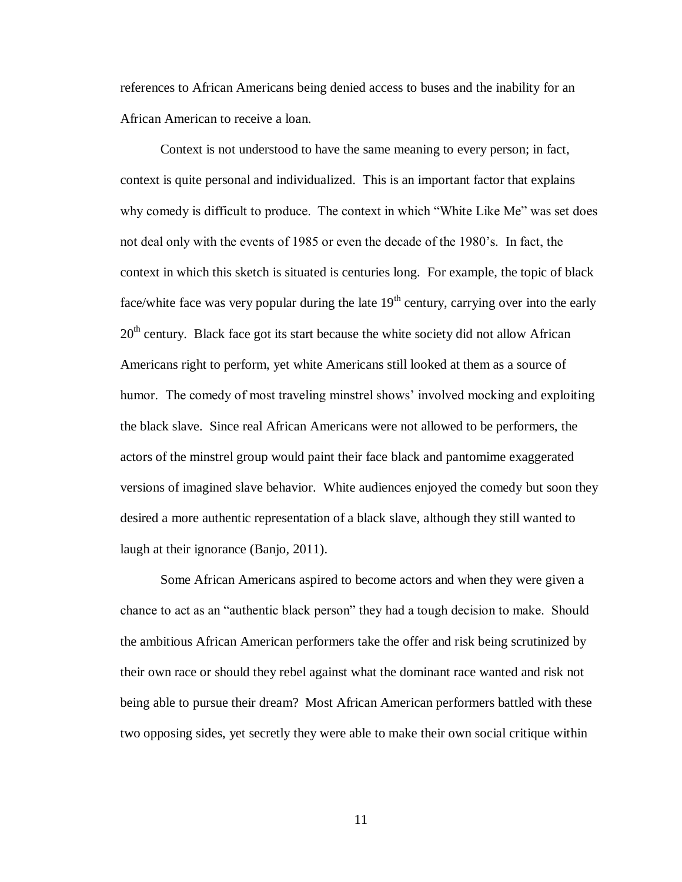references to African Americans being denied access to buses and the inability for an African American to receive a loan.

Context is not understood to have the same meaning to every person; in fact, context is quite personal and individualized. This is an important factor that explains why comedy is difficult to produce. The context in which "White Like Me" was set does not deal only with the events of 1985 or even the decade of the 1980's. In fact, the context in which this sketch is situated is centuries long. For example, the topic of black face/white face was very popular during the late  $19<sup>th</sup>$  century, carrying over into the early  $20<sup>th</sup>$  century. Black face got its start because the white society did not allow African Americans right to perform, yet white Americans still looked at them as a source of humor. The comedy of most traveling minstrel shows' involved mocking and exploiting the black slave. Since real African Americans were not allowed to be performers, the actors of the minstrel group would paint their face black and pantomime exaggerated versions of imagined slave behavior. White audiences enjoyed the comedy but soon they desired a more authentic representation of a black slave, although they still wanted to laugh at their ignorance (Banjo, 2011).

Some African Americans aspired to become actors and when they were given a chance to act as an "authentic black person" they had a tough decision to make. Should the ambitious African American performers take the offer and risk being scrutinized by their own race or should they rebel against what the dominant race wanted and risk not being able to pursue their dream? Most African American performers battled with these two opposing sides, yet secretly they were able to make their own social critique within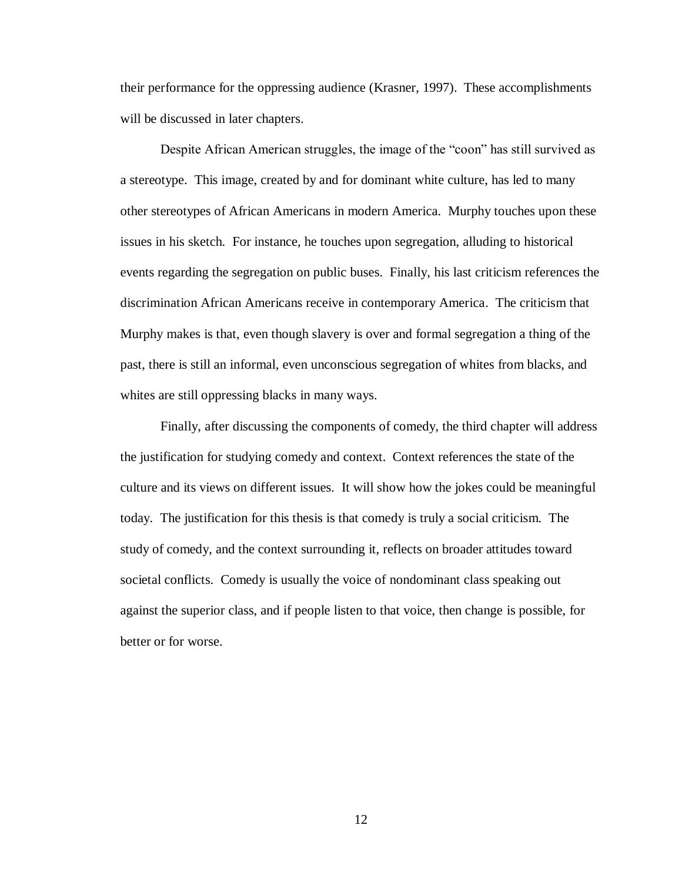their performance for the oppressing audience (Krasner, 1997). These accomplishments will be discussed in later chapters.

Despite African American struggles, the image of the "coon" has still survived as a stereotype. This image, created by and for dominant white culture, has led to many other stereotypes of African Americans in modern America. Murphy touches upon these issues in his sketch. For instance, he touches upon segregation, alluding to historical events regarding the segregation on public buses. Finally, his last criticism references the discrimination African Americans receive in contemporary America. The criticism that Murphy makes is that, even though slavery is over and formal segregation a thing of the past, there is still an informal, even unconscious segregation of whites from blacks, and whites are still oppressing blacks in many ways.

Finally, after discussing the components of comedy, the third chapter will address the justification for studying comedy and context. Context references the state of the culture and its views on different issues. It will show how the jokes could be meaningful today. The justification for this thesis is that comedy is truly a social criticism. The study of comedy, and the context surrounding it, reflects on broader attitudes toward societal conflicts. Comedy is usually the voice of nondominant class speaking out against the superior class, and if people listen to that voice, then change is possible, for better or for worse.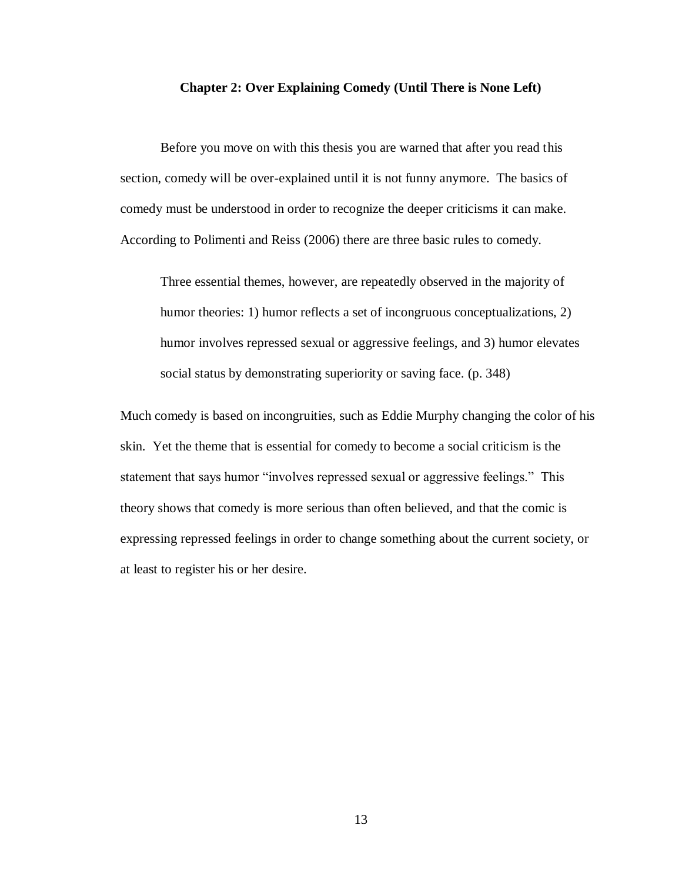#### **Chapter 2: Over Explaining Comedy (Until There is None Left)**

<span id="page-16-0"></span>Before you move on with this thesis you are warned that after you read this section, comedy will be over-explained until it is not funny anymore. The basics of comedy must be understood in order to recognize the deeper criticisms it can make. According to Polimenti and Reiss (2006) there are three basic rules to comedy.

Three essential themes, however, are repeatedly observed in the majority of humor theories: 1) humor reflects a set of incongruous conceptualizations, 2) humor involves repressed sexual or aggressive feelings, and 3) humor elevates social status by demonstrating superiority or saving face. (p. 348)

Much comedy is based on incongruities, such as Eddie Murphy changing the color of his skin. Yet the theme that is essential for comedy to become a social criticism is the statement that says humor "involves repressed sexual or aggressive feelings." This theory shows that comedy is more serious than often believed, and that the comic is expressing repressed feelings in order to change something about the current society, or at least to register his or her desire.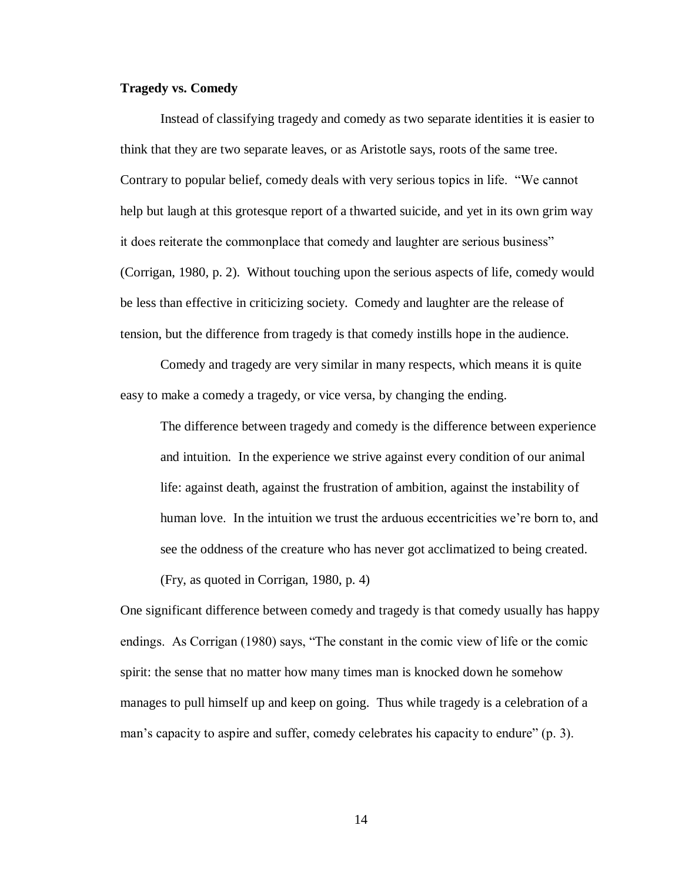## <span id="page-17-0"></span>**Tragedy vs. Comedy**

Instead of classifying tragedy and comedy as two separate identities it is easier to think that they are two separate leaves, or as Aristotle says, roots of the same tree. Contrary to popular belief, comedy deals with very serious topics in life. "We cannot help but laugh at this grotesque report of a thwarted suicide, and yet in its own grim way it does reiterate the commonplace that comedy and laughter are serious business" (Corrigan, 1980, p. 2). Without touching upon the serious aspects of life, comedy would be less than effective in criticizing society. Comedy and laughter are the release of tension, but the difference from tragedy is that comedy instills hope in the audience.

Comedy and tragedy are very similar in many respects, which means it is quite easy to make a comedy a tragedy, or vice versa, by changing the ending.

The difference between tragedy and comedy is the difference between experience and intuition. In the experience we strive against every condition of our animal life: against death, against the frustration of ambition, against the instability of human love. In the intuition we trust the arduous eccentricities we're born to, and see the oddness of the creature who has never got acclimatized to being created. (Fry, as quoted in Corrigan, 1980, p. 4)

One significant difference between comedy and tragedy is that comedy usually has happy endings. As Corrigan (1980) says, "The constant in the comic view of life or the comic spirit: the sense that no matter how many times man is knocked down he somehow manages to pull himself up and keep on going. Thus while tragedy is a celebration of a man's capacity to aspire and suffer, comedy celebrates his capacity to endure" (p. 3).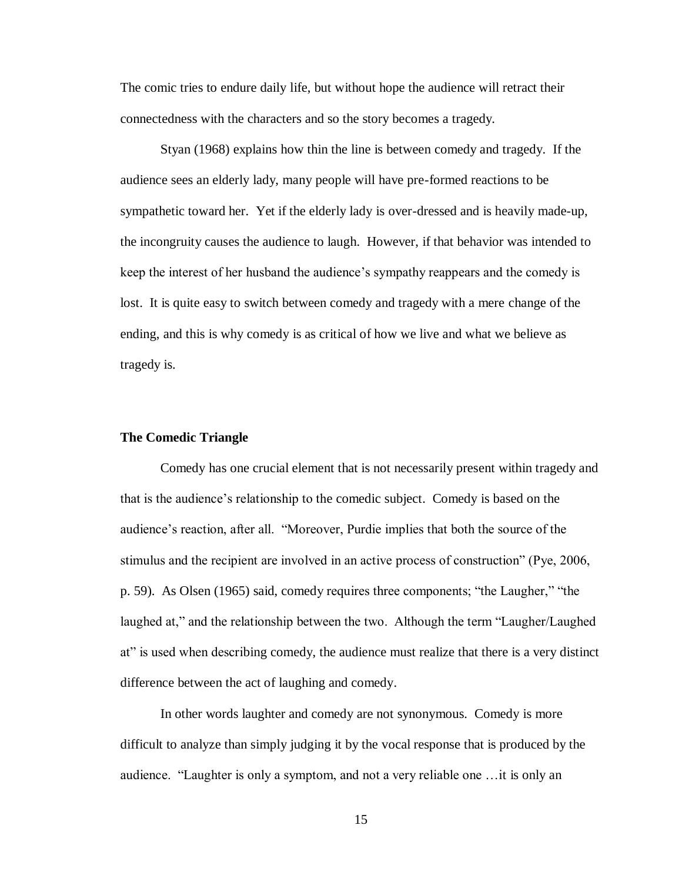The comic tries to endure daily life, but without hope the audience will retract their connectedness with the characters and so the story becomes a tragedy.

Styan (1968) explains how thin the line is between comedy and tragedy. If the audience sees an elderly lady, many people will have pre-formed reactions to be sympathetic toward her. Yet if the elderly lady is over-dressed and is heavily made-up, the incongruity causes the audience to laugh. However, if that behavior was intended to keep the interest of her husband the audience's sympathy reappears and the comedy is lost. It is quite easy to switch between comedy and tragedy with a mere change of the ending, and this is why comedy is as critical of how we live and what we believe as tragedy is.

#### <span id="page-18-0"></span>**The Comedic Triangle**

Comedy has one crucial element that is not necessarily present within tragedy and that is the audience's relationship to the comedic subject. Comedy is based on the audience's reaction, after all. "Moreover, Purdie implies that both the source of the stimulus and the recipient are involved in an active process of construction" (Pye, 2006, p. 59). As Olsen (1965) said, comedy requires three components; "the Laugher," "the laughed at," and the relationship between the two. Although the term "Laugher/Laughed at" is used when describing comedy, the audience must realize that there is a very distinct difference between the act of laughing and comedy.

In other words laughter and comedy are not synonymous. Comedy is more difficult to analyze than simply judging it by the vocal response that is produced by the audience. "Laughter is only a symptom, and not a very reliable one …it is only an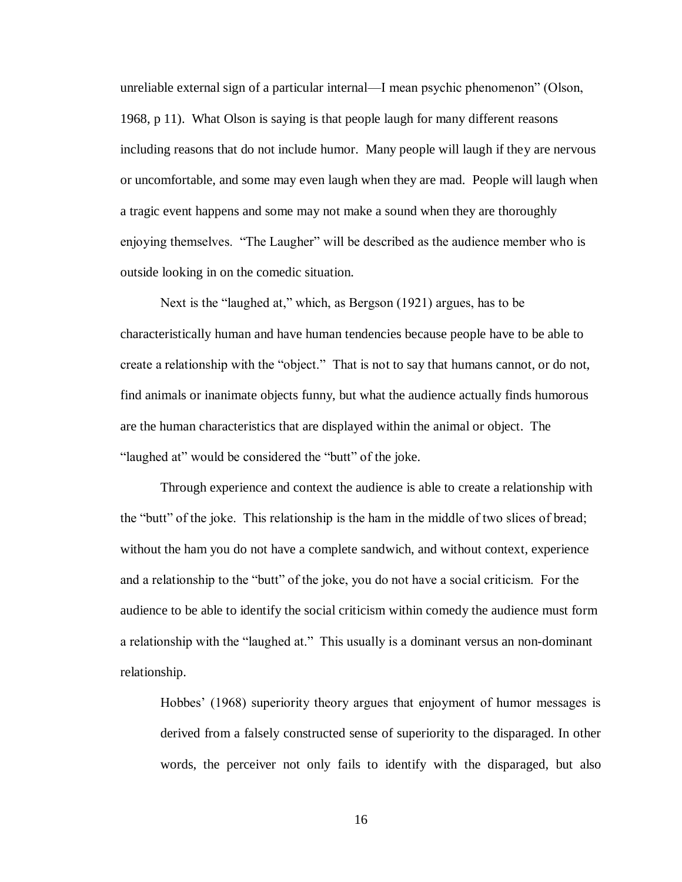unreliable external sign of a particular internal—I mean psychic phenomenon" (Olson, 1968, p 11). What Olson is saying is that people laugh for many different reasons including reasons that do not include humor. Many people will laugh if they are nervous or uncomfortable, and some may even laugh when they are mad. People will laugh when a tragic event happens and some may not make a sound when they are thoroughly enjoying themselves. "The Laugher" will be described as the audience member who is outside looking in on the comedic situation.

Next is the "laughed at," which, as Bergson (1921) argues, has to be characteristically human and have human tendencies because people have to be able to create a relationship with the "object." That is not to say that humans cannot, or do not, find animals or inanimate objects funny, but what the audience actually finds humorous are the human characteristics that are displayed within the animal or object. The "laughed at" would be considered the "butt" of the joke.

Through experience and context the audience is able to create a relationship with the "butt" of the joke. This relationship is the ham in the middle of two slices of bread; without the ham you do not have a complete sandwich, and without context, experience and a relationship to the "butt" of the joke, you do not have a social criticism. For the audience to be able to identify the social criticism within comedy the audience must form a relationship with the "laughed at." This usually is a dominant versus an non-dominant relationship.

Hobbes' (1968) superiority theory argues that enjoyment of humor messages is derived from a falsely constructed sense of superiority to the disparaged. In other words, the perceiver not only fails to identify with the disparaged, but also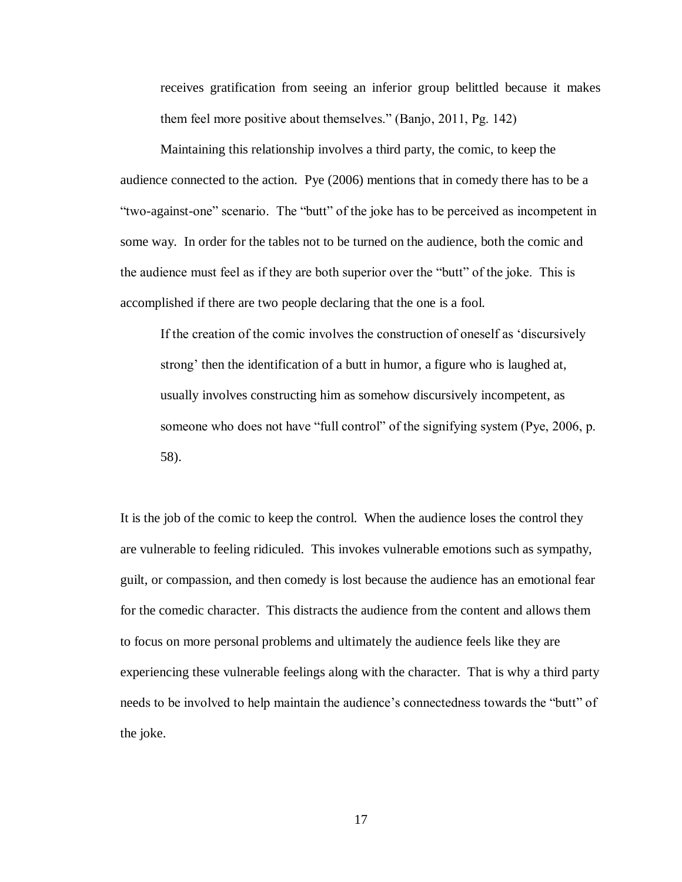receives gratification from seeing an inferior group belittled because it makes them feel more positive about themselves." (Banjo, 2011, Pg. 142)

Maintaining this relationship involves a third party, the comic, to keep the audience connected to the action. Pye (2006) mentions that in comedy there has to be a "two-against-one" scenario. The "butt" of the joke has to be perceived as incompetent in some way. In order for the tables not to be turned on the audience, both the comic and the audience must feel as if they are both superior over the "butt" of the joke. This is accomplished if there are two people declaring that the one is a fool.

If the creation of the comic involves the construction of oneself as 'discursively strong' then the identification of a butt in humor, a figure who is laughed at, usually involves constructing him as somehow discursively incompetent, as someone who does not have "full control" of the signifying system (Pye, 2006, p. 58).

It is the job of the comic to keep the control. When the audience loses the control they are vulnerable to feeling ridiculed. This invokes vulnerable emotions such as sympathy, guilt, or compassion, and then comedy is lost because the audience has an emotional fear for the comedic character. This distracts the audience from the content and allows them to focus on more personal problems and ultimately the audience feels like they are experiencing these vulnerable feelings along with the character. That is why a third party needs to be involved to help maintain the audience's connectedness towards the "butt" of the joke.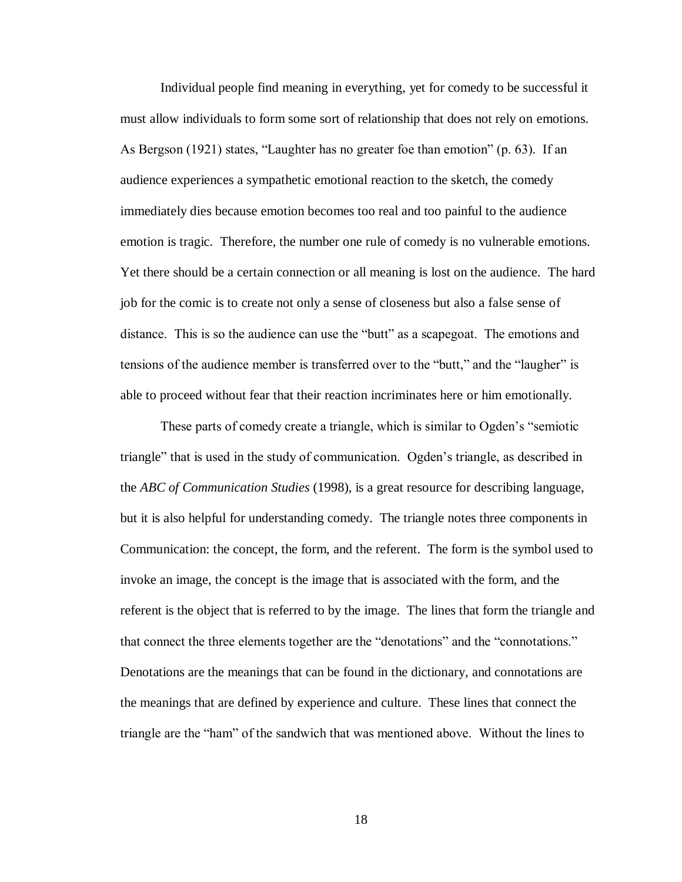Individual people find meaning in everything, yet for comedy to be successful it must allow individuals to form some sort of relationship that does not rely on emotions. As Bergson (1921) states, "Laughter has no greater foe than emotion" (p. 63). If an audience experiences a sympathetic emotional reaction to the sketch, the comedy immediately dies because emotion becomes too real and too painful to the audience emotion is tragic. Therefore, the number one rule of comedy is no vulnerable emotions. Yet there should be a certain connection or all meaning is lost on the audience. The hard job for the comic is to create not only a sense of closeness but also a false sense of distance. This is so the audience can use the "butt" as a scapegoat. The emotions and tensions of the audience member is transferred over to the "butt," and the "laugher" is able to proceed without fear that their reaction incriminates here or him emotionally.

These parts of comedy create a triangle, which is similar to Ogden's "semiotic triangle" that is used in the study of communication. Ogden's triangle, as described in the *ABC of Communication Studies* (1998), is a great resource for describing language, but it is also helpful for understanding comedy. The triangle notes three components in Communication: the concept, the form, and the referent. The form is the symbol used to invoke an image, the concept is the image that is associated with the form, and the referent is the object that is referred to by the image. The lines that form the triangle and that connect the three elements together are the "denotations" and the "connotations." Denotations are the meanings that can be found in the dictionary, and connotations are the meanings that are defined by experience and culture. These lines that connect the triangle are the "ham" of the sandwich that was mentioned above. Without the lines to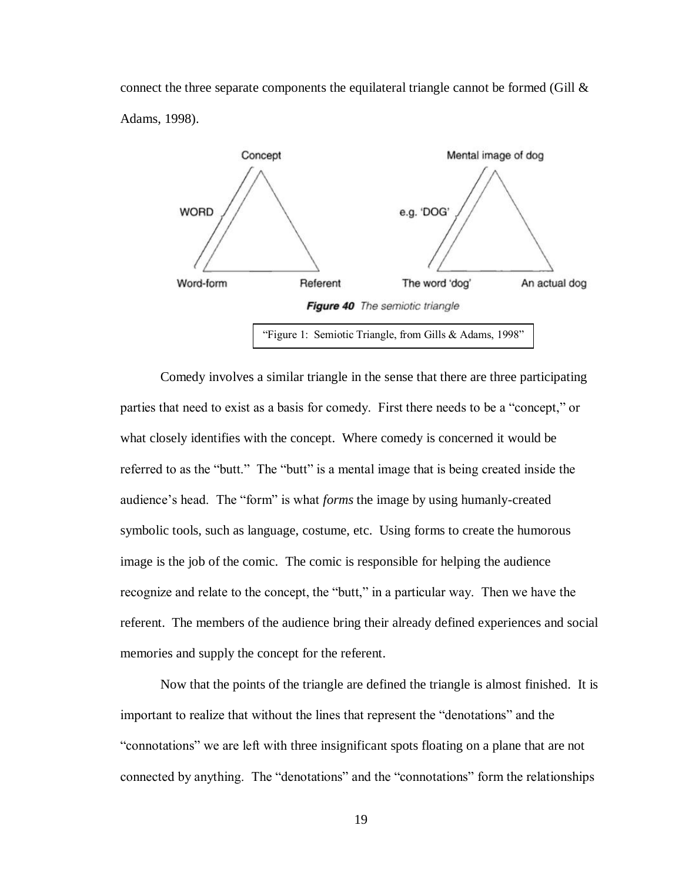connect the three separate components the equilateral triangle cannot be formed (Gill  $\&$ Adams, 1998).



Comedy involves a similar triangle in the sense that there are three participating parties that need to exist as a basis for comedy. First there needs to be a "concept," or what closely identifies with the concept. Where comedy is concerned it would be referred to as the "butt." The "butt" is a mental image that is being created inside the audience's head. The "form" is what *forms* the image by using humanly-created symbolic tools, such as language, costume, etc. Using forms to create the humorous image is the job of the comic. The comic is responsible for helping the audience recognize and relate to the concept, the "butt," in a particular way. Then we have the referent. The members of the audience bring their already defined experiences and social memories and supply the concept for the referent.

Now that the points of the triangle are defined the triangle is almost finished. It is important to realize that without the lines that represent the "denotations" and the "connotations" we are left with three insignificant spots floating on a plane that are not connected by anything. The "denotations" and the "connotations" form the relationships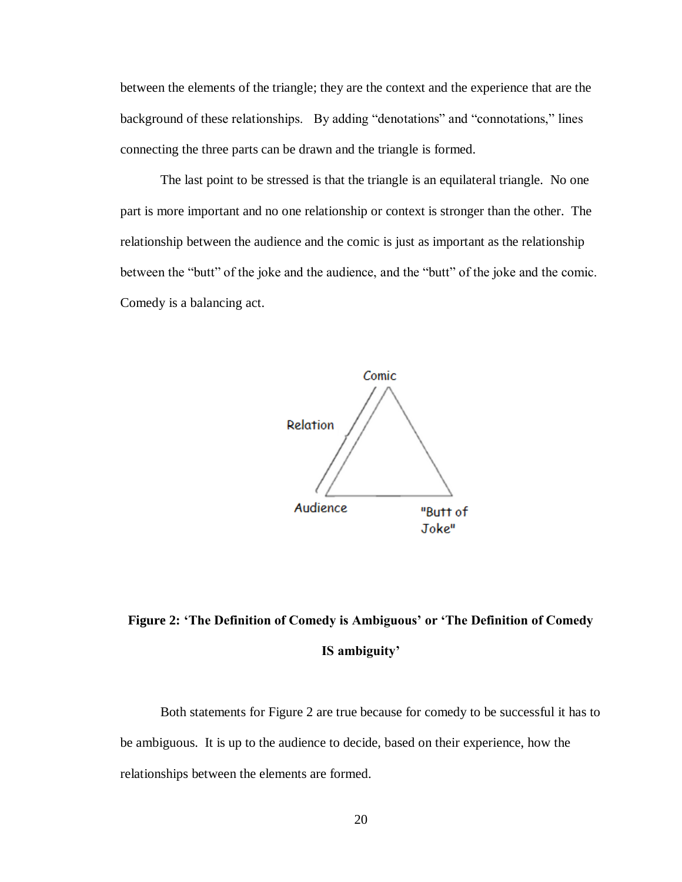between the elements of the triangle; they are the context and the experience that are the background of these relationships. By adding "denotations" and "connotations," lines connecting the three parts can be drawn and the triangle is formed.

The last point to be stressed is that the triangle is an equilateral triangle. No one part is more important and no one relationship or context is stronger than the other. The relationship between the audience and the comic is just as important as the relationship between the "butt" of the joke and the audience, and the "butt" of the joke and the comic. Comedy is a balancing act.



## **Figure 2: 'The Definition of Comedy is Ambiguous' or 'The Definition of Comedy IS ambiguity'**

Both statements for Figure 2 are true because for comedy to be successful it has to be ambiguous. It is up to the audience to decide, based on their experience, how the relationships between the elements are formed.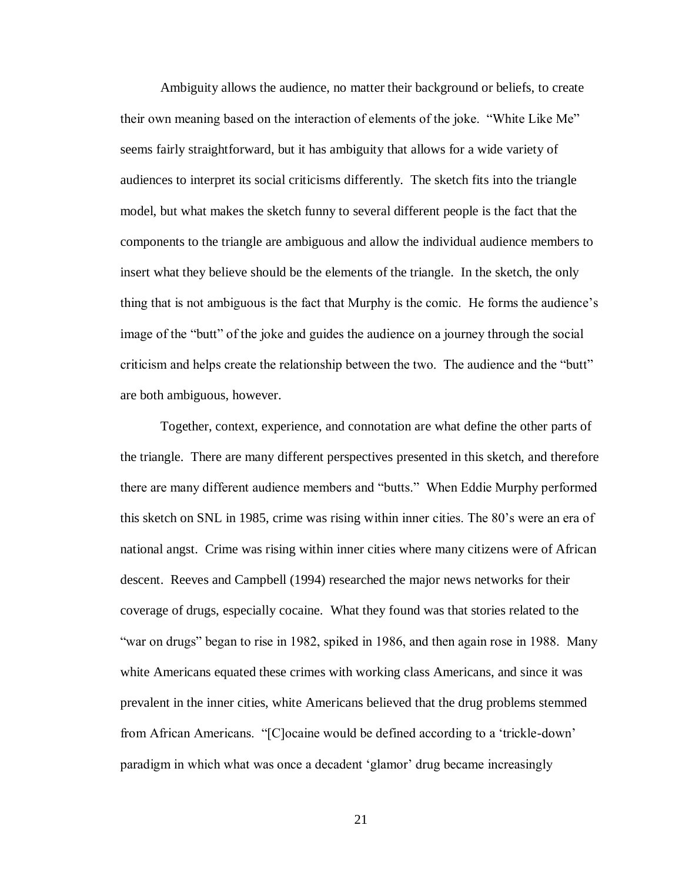Ambiguity allows the audience, no matter their background or beliefs, to create their own meaning based on the interaction of elements of the joke. "White Like Me" seems fairly straightforward, but it has ambiguity that allows for a wide variety of audiences to interpret its social criticisms differently. The sketch fits into the triangle model, but what makes the sketch funny to several different people is the fact that the components to the triangle are ambiguous and allow the individual audience members to insert what they believe should be the elements of the triangle. In the sketch, the only thing that is not ambiguous is the fact that Murphy is the comic. He forms the audience's image of the "butt" of the joke and guides the audience on a journey through the social criticism and helps create the relationship between the two. The audience and the "butt" are both ambiguous, however.

Together, context, experience, and connotation are what define the other parts of the triangle. There are many different perspectives presented in this sketch, and therefore there are many different audience members and "butts." When Eddie Murphy performed this sketch on SNL in 1985, crime was rising within inner cities. The 80's were an era of national angst. Crime was rising within inner cities where many citizens were of African descent. Reeves and Campbell (1994) researched the major news networks for their coverage of drugs, especially cocaine. What they found was that stories related to the "war on drugs" began to rise in 1982, spiked in 1986, and then again rose in 1988. Many white Americans equated these crimes with working class Americans, and since it was prevalent in the inner cities, white Americans believed that the drug problems stemmed from African Americans. "[C]ocaine would be defined according to a 'trickle-down' paradigm in which what was once a decadent 'glamor' drug became increasingly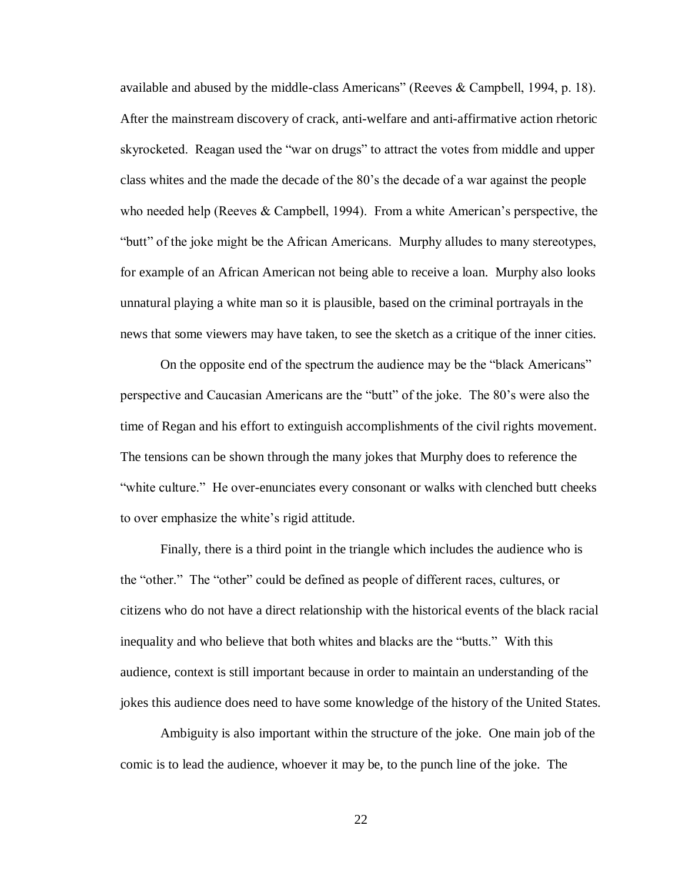available and abused by the middle-class Americans" (Reeves & Campbell, 1994, p. 18). After the mainstream discovery of crack, anti-welfare and anti-affirmative action rhetoric skyrocketed. Reagan used the "war on drugs" to attract the votes from middle and upper class whites and the made the decade of the 80's the decade of a war against the people who needed help (Reeves  $& \text{ Campbell}, 1994$ ). From a white American's perspective, the "butt" of the joke might be the African Americans. Murphy alludes to many stereotypes, for example of an African American not being able to receive a loan. Murphy also looks unnatural playing a white man so it is plausible, based on the criminal portrayals in the news that some viewers may have taken, to see the sketch as a critique of the inner cities.

On the opposite end of the spectrum the audience may be the "black Americans" perspective and Caucasian Americans are the "butt" of the joke. The 80's were also the time of Regan and his effort to extinguish accomplishments of the civil rights movement. The tensions can be shown through the many jokes that Murphy does to reference the "white culture." He over-enunciates every consonant or walks with clenched butt cheeks to over emphasize the white's rigid attitude.

Finally, there is a third point in the triangle which includes the audience who is the "other." The "other" could be defined as people of different races, cultures, or citizens who do not have a direct relationship with the historical events of the black racial inequality and who believe that both whites and blacks are the "butts." With this audience, context is still important because in order to maintain an understanding of the jokes this audience does need to have some knowledge of the history of the United States.

Ambiguity is also important within the structure of the joke. One main job of the comic is to lead the audience, whoever it may be, to the punch line of the joke. The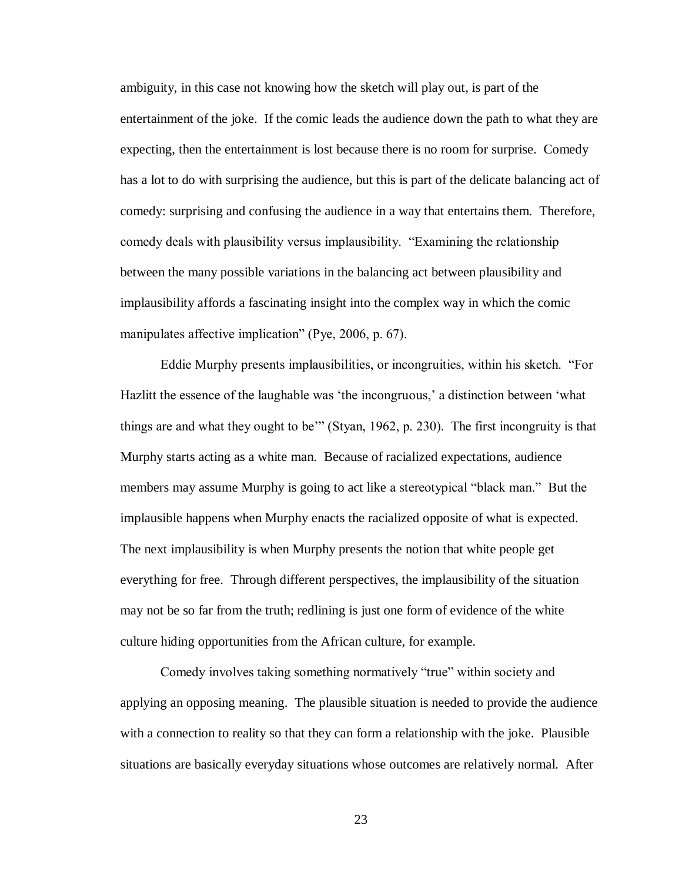ambiguity, in this case not knowing how the sketch will play out, is part of the entertainment of the joke. If the comic leads the audience down the path to what they are expecting, then the entertainment is lost because there is no room for surprise. Comedy has a lot to do with surprising the audience, but this is part of the delicate balancing act of comedy: surprising and confusing the audience in a way that entertains them. Therefore, comedy deals with plausibility versus implausibility. "Examining the relationship between the many possible variations in the balancing act between plausibility and implausibility affords a fascinating insight into the complex way in which the comic manipulates affective implication" (Pye, 2006, p. 67).

Eddie Murphy presents implausibilities, or incongruities, within his sketch. "For Hazlitt the essence of the laughable was 'the incongruous,' a distinction between 'what things are and what they ought to be'" (Styan, 1962, p. 230). The first incongruity is that Murphy starts acting as a white man. Because of racialized expectations, audience members may assume Murphy is going to act like a stereotypical "black man." But the implausible happens when Murphy enacts the racialized opposite of what is expected. The next implausibility is when Murphy presents the notion that white people get everything for free. Through different perspectives, the implausibility of the situation may not be so far from the truth; redlining is just one form of evidence of the white culture hiding opportunities from the African culture, for example.

Comedy involves taking something normatively "true" within society and applying an opposing meaning. The plausible situation is needed to provide the audience with a connection to reality so that they can form a relationship with the joke. Plausible situations are basically everyday situations whose outcomes are relatively normal. After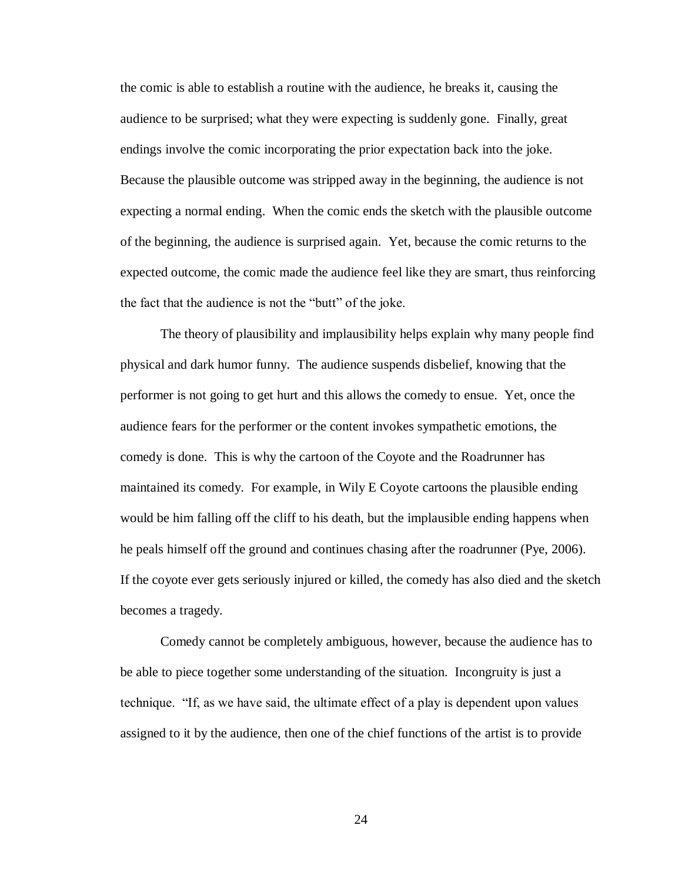the comic is able to establish a routine with the audience, he breaks it, causing the audience to be surprised; what they were expecting is suddenly gone. Finally, great endings involve the comic incorporating the prior expectation back into the joke. Because the plausible outcome was stripped away in the beginning, the audience is not expecting a normal ending. When the comic ends the sketch with the plausible outcome of the beginning, the audience is surprised again. Yet, because the comic returns to the expected outcome, the comic made the audience feel like they are smart, thus reinforcing the fact that the audience is not the "butt" of the joke.

The theory of plausibility and implausibility helps explain why many people find physical and dark humor funny. The audience suspends disbelief, knowing that the performer is not going to get hurt and this allows the comedy to ensue. Yet, once the audience fears for the performer or the content invokes sympathetic emotions, the comedy is done. This is why the cartoon of the Coyote and the Roadrunner has maintained its comedy. For example, in Wily E Coyote cartoons the plausible ending would be him falling off the cliff to his death, but the implausible ending happens when he peals himself off the ground and continues chasing after the roadrunner (Pye, 2006). If the coyote ever gets seriously injured or killed, the comedy has also died and the sketch becomes a tragedy.

Comedy cannot be completely ambiguous, however, because the audience has to be able to piece together some understanding of the situation. Incongruity is just a technique. "If, as we have said, the ultimate effect of a play is dependent upon values assigned to it by the audience, then one of the chief functions of the artist is to provide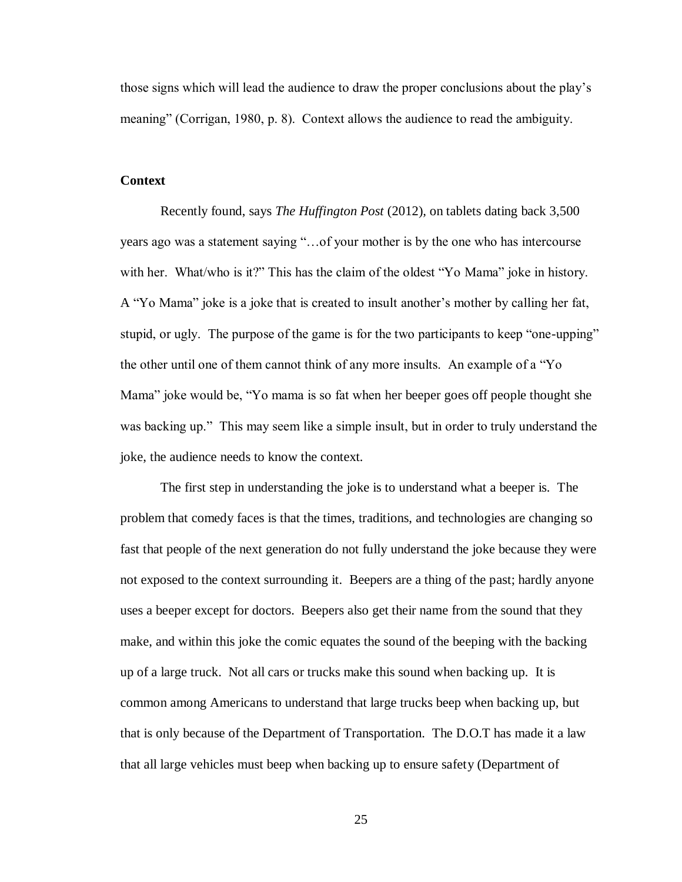those signs which will lead the audience to draw the proper conclusions about the play's meaning" (Corrigan, 1980, p. 8). Context allows the audience to read the ambiguity.

## <span id="page-28-0"></span>**Context**

Recently found, says *The Huffington Post* (2012)*,* on tablets dating back 3,500 years ago was a statement saying "…of your mother is by the one who has intercourse with her. What/who is it?" This has the claim of the oldest "Yo Mama" joke in history. A "Yo Mama" joke is a joke that is created to insult another's mother by calling her fat, stupid, or ugly. The purpose of the game is for the two participants to keep "one-upping" the other until one of them cannot think of any more insults. An example of a "Yo Mama" joke would be, "Yo mama is so fat when her beeper goes off people thought she was backing up." This may seem like a simple insult, but in order to truly understand the joke, the audience needs to know the context.

The first step in understanding the joke is to understand what a beeper is. The problem that comedy faces is that the times, traditions, and technologies are changing so fast that people of the next generation do not fully understand the joke because they were not exposed to the context surrounding it. Beepers are a thing of the past; hardly anyone uses a beeper except for doctors. Beepers also get their name from the sound that they make, and within this joke the comic equates the sound of the beeping with the backing up of a large truck. Not all cars or trucks make this sound when backing up. It is common among Americans to understand that large trucks beep when backing up, but that is only because of the Department of Transportation. The D.O.T has made it a law that all large vehicles must beep when backing up to ensure safety (Department of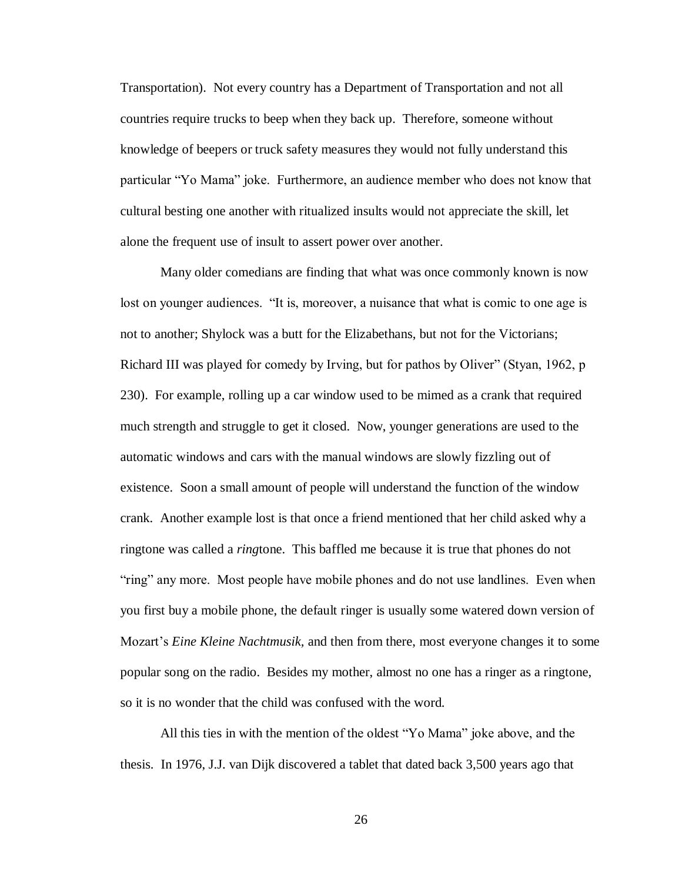Transportation). Not every country has a Department of Transportation and not all countries require trucks to beep when they back up. Therefore, someone without knowledge of beepers or truck safety measures they would not fully understand this particular "Yo Mama" joke. Furthermore, an audience member who does not know that cultural besting one another with ritualized insults would not appreciate the skill, let alone the frequent use of insult to assert power over another.

Many older comedians are finding that what was once commonly known is now lost on younger audiences. "It is, moreover, a nuisance that what is comic to one age is not to another; Shylock was a butt for the Elizabethans, but not for the Victorians; Richard III was played for comedy by Irving, but for pathos by Oliver" (Styan, 1962, p 230). For example, rolling up a car window used to be mimed as a crank that required much strength and struggle to get it closed. Now, younger generations are used to the automatic windows and cars with the manual windows are slowly fizzling out of existence. Soon a small amount of people will understand the function of the window crank. Another example lost is that once a friend mentioned that her child asked why a ringtone was called a *ring*tone. This baffled me because it is true that phones do not "ring" any more. Most people have mobile phones and do not use landlines. Even when you first buy a mobile phone, the default ringer is usually some watered down version of Mozart's *Eine Kleine Nachtmusik,* and then from there, most everyone changes it to some popular song on the radio. Besides my mother, almost no one has a ringer as a ringtone, so it is no wonder that the child was confused with the word.

All this ties in with the mention of the oldest "Yo Mama" joke above, and the thesis. In 1976, J.J. van Dijk discovered a tablet that dated back 3,500 years ago that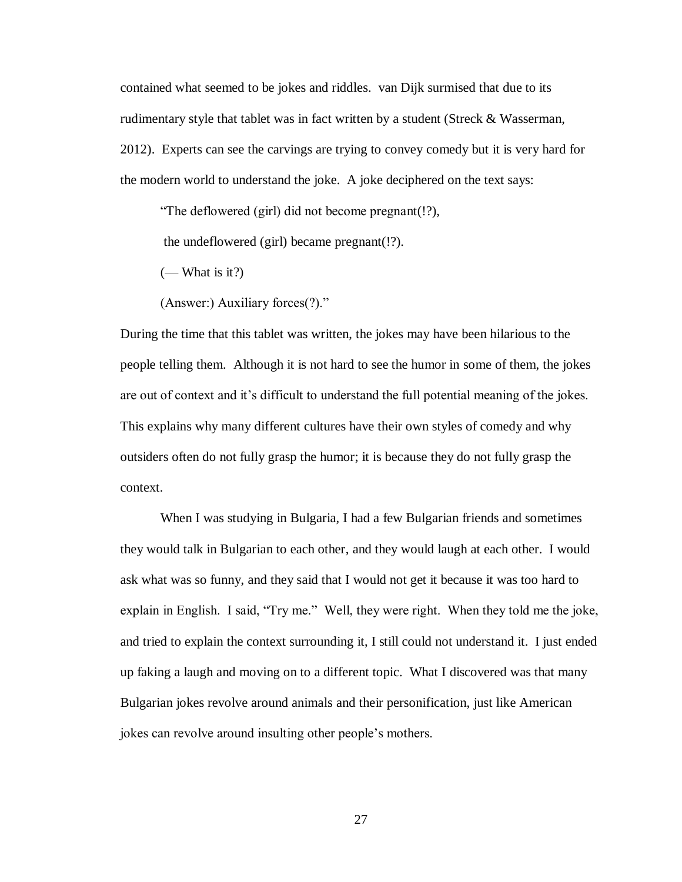contained what seemed to be jokes and riddles. van Dijk surmised that due to its rudimentary style that tablet was in fact written by a student (Streck & Wasserman, 2012). Experts can see the carvings are trying to convey comedy but it is very hard for the modern world to understand the joke. A joke deciphered on the text says:

"The deflowered (girl) did not become pregnant(!?),

the undeflowered (girl) became pregnant(!?).

 $(-$  What is it?)

(Answer:) Auxiliary forces(?)."

During the time that this tablet was written, the jokes may have been hilarious to the people telling them. Although it is not hard to see the humor in some of them, the jokes are out of context and it's difficult to understand the full potential meaning of the jokes. This explains why many different cultures have their own styles of comedy and why outsiders often do not fully grasp the humor; it is because they do not fully grasp the context.

When I was studying in Bulgaria, I had a few Bulgarian friends and sometimes they would talk in Bulgarian to each other, and they would laugh at each other. I would ask what was so funny, and they said that I would not get it because it was too hard to explain in English. I said, "Try me." Well, they were right. When they told me the joke, and tried to explain the context surrounding it, I still could not understand it. I just ended up faking a laugh and moving on to a different topic. What I discovered was that many Bulgarian jokes revolve around animals and their personification, just like American jokes can revolve around insulting other people's mothers.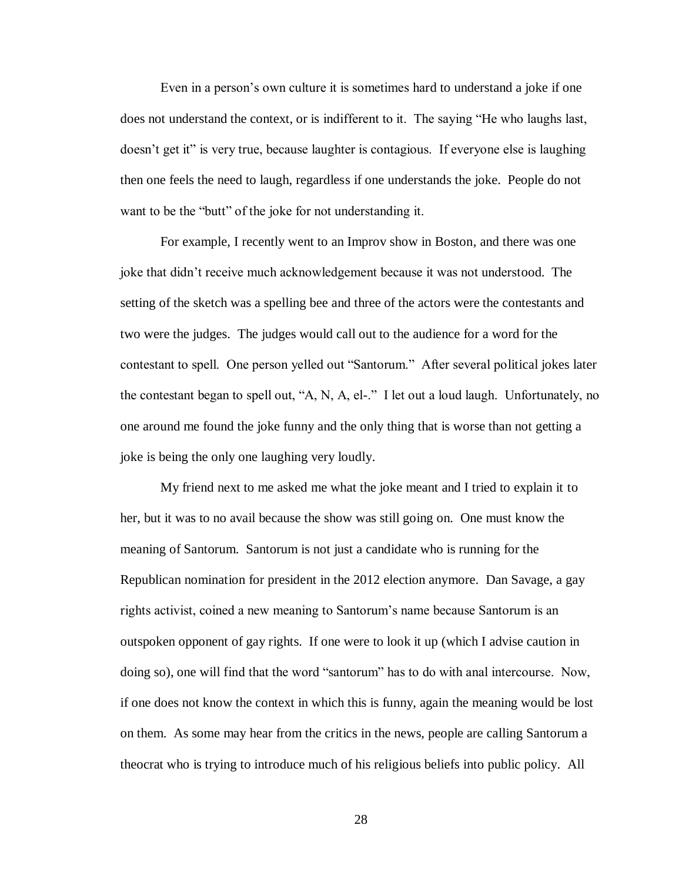Even in a person's own culture it is sometimes hard to understand a joke if one does not understand the context, or is indifferent to it. The saying "He who laughs last, doesn't get it" is very true, because laughter is contagious. If everyone else is laughing then one feels the need to laugh, regardless if one understands the joke. People do not want to be the "butt" of the joke for not understanding it.

For example, I recently went to an Improv show in Boston, and there was one joke that didn't receive much acknowledgement because it was not understood. The setting of the sketch was a spelling bee and three of the actors were the contestants and two were the judges. The judges would call out to the audience for a word for the contestant to spell. One person yelled out "Santorum." After several political jokes later the contestant began to spell out, "A, N, A, el-." I let out a loud laugh. Unfortunately, no one around me found the joke funny and the only thing that is worse than not getting a joke is being the only one laughing very loudly.

My friend next to me asked me what the joke meant and I tried to explain it to her, but it was to no avail because the show was still going on. One must know the meaning of Santorum. Santorum is not just a candidate who is running for the Republican nomination for president in the 2012 election anymore. Dan Savage, a gay rights activist, coined a new meaning to Santorum's name because Santorum is an outspoken opponent of gay rights. If one were to look it up (which I advise caution in doing so), one will find that the word "santorum" has to do with anal intercourse. Now, if one does not know the context in which this is funny, again the meaning would be lost on them. As some may hear from the critics in the news, people are calling Santorum a theocrat who is trying to introduce much of his religious beliefs into public policy. All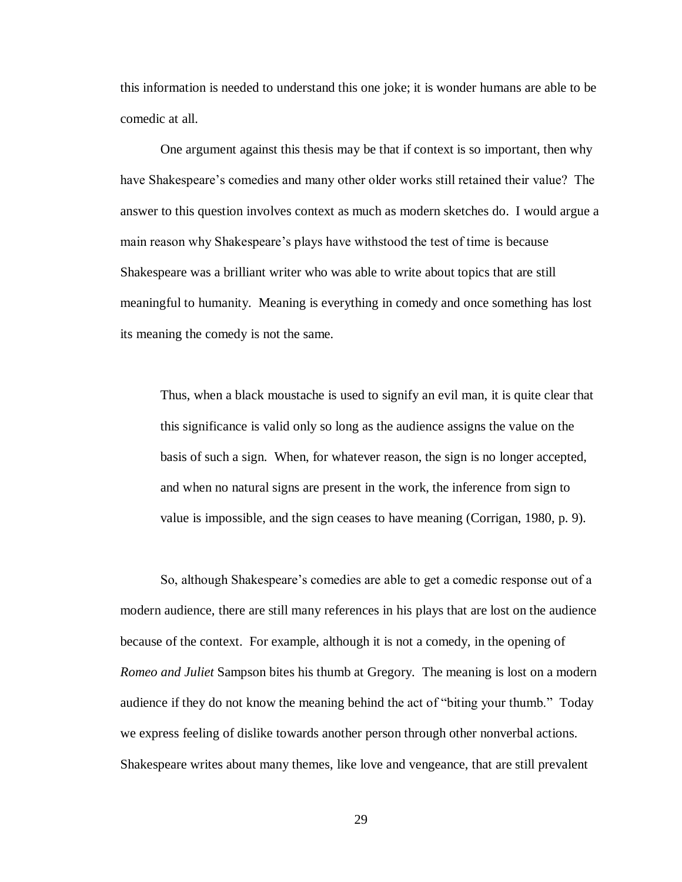this information is needed to understand this one joke; it is wonder humans are able to be comedic at all.

One argument against this thesis may be that if context is so important, then why have Shakespeare's comedies and many other older works still retained their value? The answer to this question involves context as much as modern sketches do. I would argue a main reason why Shakespeare's plays have withstood the test of time is because Shakespeare was a brilliant writer who was able to write about topics that are still meaningful to humanity. Meaning is everything in comedy and once something has lost its meaning the comedy is not the same.

Thus, when a black moustache is used to signify an evil man, it is quite clear that this significance is valid only so long as the audience assigns the value on the basis of such a sign. When, for whatever reason, the sign is no longer accepted, and when no natural signs are present in the work, the inference from sign to value is impossible, and the sign ceases to have meaning (Corrigan, 1980, p. 9).

So, although Shakespeare's comedies are able to get a comedic response out of a modern audience, there are still many references in his plays that are lost on the audience because of the context. For example, although it is not a comedy, in the opening of *Romeo and Juliet* Sampson bites his thumb at Gregory. The meaning is lost on a modern audience if they do not know the meaning behind the act of "biting your thumb." Today we express feeling of dislike towards another person through other nonverbal actions. Shakespeare writes about many themes, like love and vengeance, that are still prevalent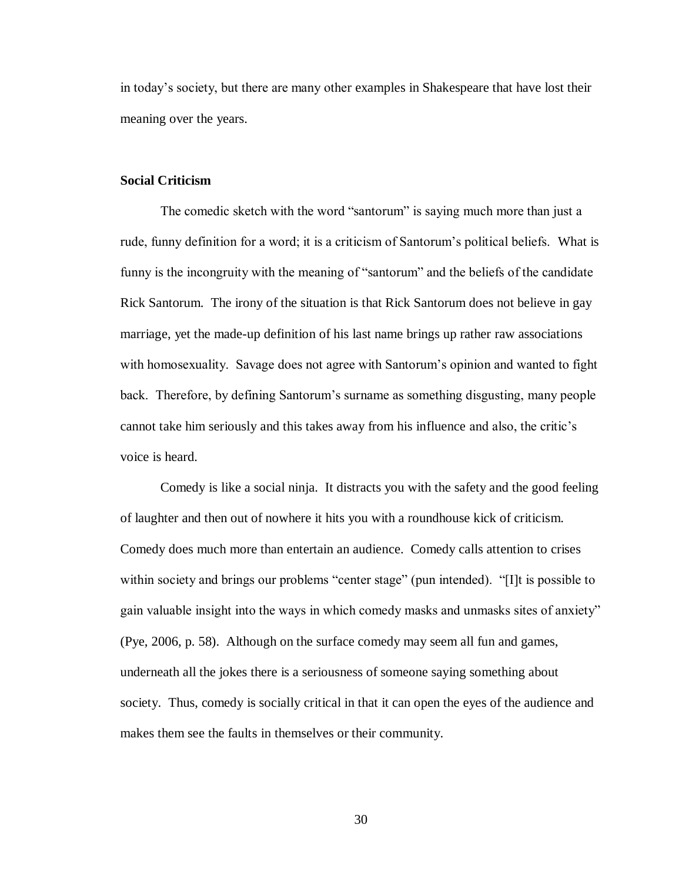in today's society, but there are many other examples in Shakespeare that have lost their meaning over the years.

#### <span id="page-33-0"></span>**Social Criticism**

The comedic sketch with the word "santorum" is saying much more than just a rude, funny definition for a word; it is a criticism of Santorum's political beliefs. What is funny is the incongruity with the meaning of "santorum" and the beliefs of the candidate Rick Santorum. The irony of the situation is that Rick Santorum does not believe in gay marriage, yet the made-up definition of his last name brings up rather raw associations with homosexuality. Savage does not agree with Santorum's opinion and wanted to fight back. Therefore, by defining Santorum's surname as something disgusting, many people cannot take him seriously and this takes away from his influence and also, the critic's voice is heard.

Comedy is like a social ninja. It distracts you with the safety and the good feeling of laughter and then out of nowhere it hits you with a roundhouse kick of criticism. Comedy does much more than entertain an audience. Comedy calls attention to crises within society and brings our problems "center stage" (pun intended). "[I]t is possible to gain valuable insight into the ways in which comedy masks and unmasks sites of anxiety" (Pye, 2006, p. 58). Although on the surface comedy may seem all fun and games, underneath all the jokes there is a seriousness of someone saying something about society. Thus, comedy is socially critical in that it can open the eyes of the audience and makes them see the faults in themselves or their community.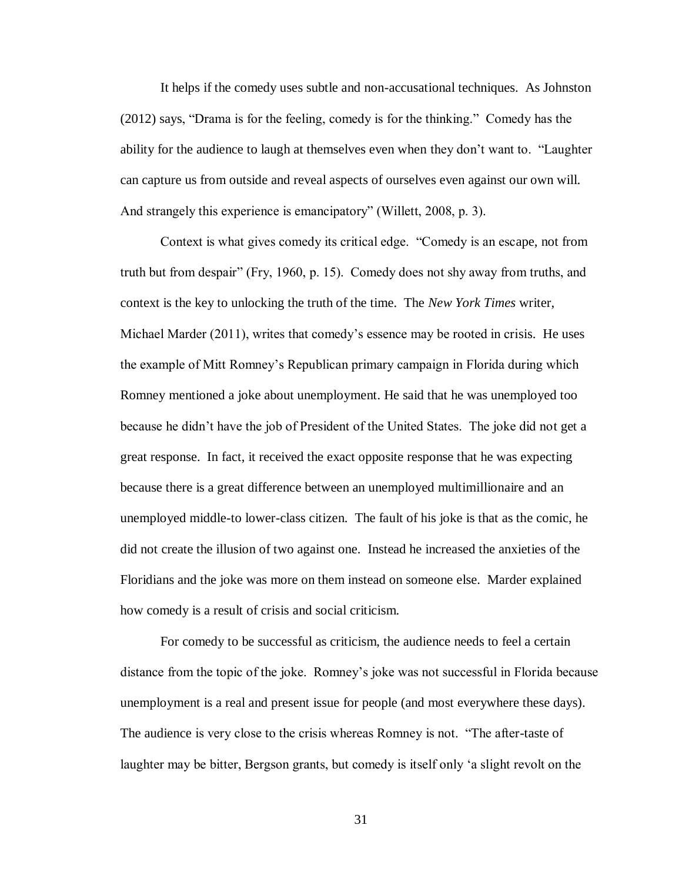It helps if the comedy uses subtle and non-accusational techniques. As Johnston (2012) says, "Drama is for the feeling, comedy is for the thinking." Comedy has the ability for the audience to laugh at themselves even when they don't want to. "Laughter can capture us from outside and reveal aspects of ourselves even against our own will. And strangely this experience is emancipatory" (Willett, 2008, p. 3).

Context is what gives comedy its critical edge. "Comedy is an escape, not from truth but from despair" (Fry, 1960, p. 15). Comedy does not shy away from truths, and context is the key to unlocking the truth of the time. The *New York Times* writer, Michael Marder (2011), writes that comedy's essence may be rooted in crisis. He uses the example of Mitt Romney's Republican primary campaign in Florida during which Romney mentioned a joke about unemployment. He said that he was unemployed too because he didn't have the job of President of the United States. The joke did not get a great response. In fact, it received the exact opposite response that he was expecting because there is a great difference between an unemployed multimillionaire and an unemployed middle-to lower-class citizen. The fault of his joke is that as the comic, he did not create the illusion of two against one. Instead he increased the anxieties of the Floridians and the joke was more on them instead on someone else. Marder explained how comedy is a result of crisis and social criticism.

For comedy to be successful as criticism, the audience needs to feel a certain distance from the topic of the joke. Romney's joke was not successful in Florida because unemployment is a real and present issue for people (and most everywhere these days). The audience is very close to the crisis whereas Romney is not. "The after-taste of laughter may be bitter, Bergson grants, but comedy is itself only 'a slight revolt on the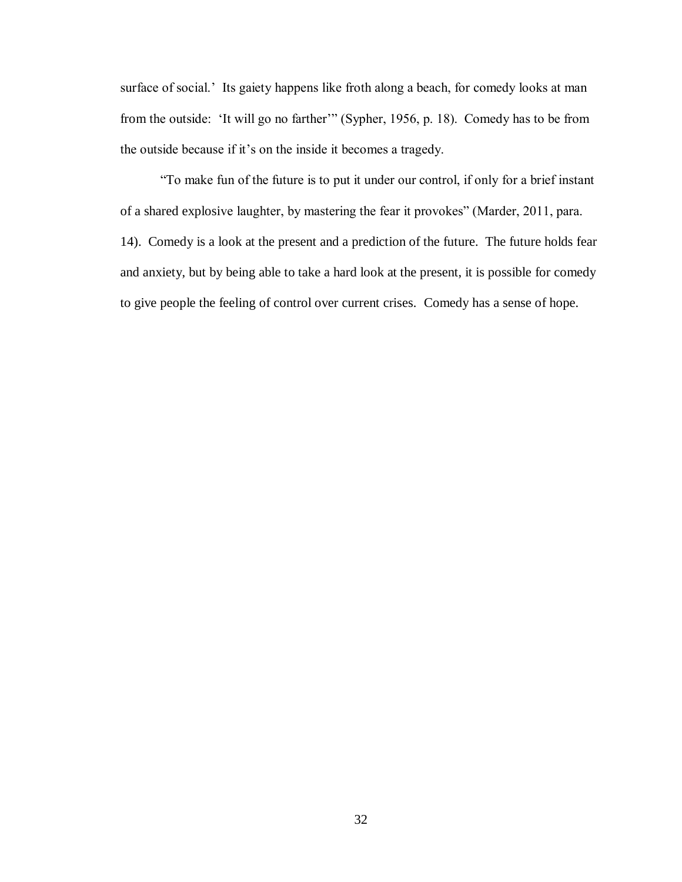surface of social.' Its gaiety happens like froth along a beach, for comedy looks at man from the outside: 'It will go no farther'" (Sypher, 1956, p. 18). Comedy has to be from the outside because if it's on the inside it becomes a tragedy.

"To make fun of the future is to put it under our control, if only for a brief instant of a shared explosive laughter, by mastering the fear it provokes" (Marder, 2011, para. 14). Comedy is a look at the present and a prediction of the future. The future holds fear and anxiety, but by being able to take a hard look at the present, it is possible for comedy to give people the feeling of control over current crises. Comedy has a sense of hope.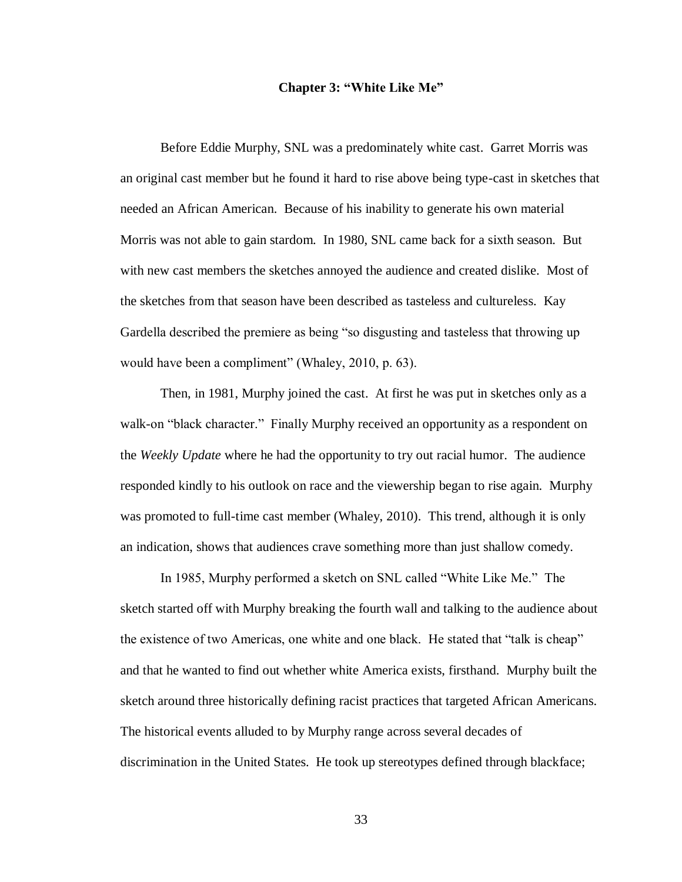#### **Chapter 3: "White Like Me"**

<span id="page-36-0"></span>Before Eddie Murphy, SNL was a predominately white cast. Garret Morris was an original cast member but he found it hard to rise above being type-cast in sketches that needed an African American. Because of his inability to generate his own material Morris was not able to gain stardom. In 1980, SNL came back for a sixth season. But with new cast members the sketches annoyed the audience and created dislike. Most of the sketches from that season have been described as tasteless and cultureless. Kay Gardella described the premiere as being "so disgusting and tasteless that throwing up would have been a compliment" (Whaley, 2010, p. 63).

Then, in 1981, Murphy joined the cast. At first he was put in sketches only as a walk-on "black character." Finally Murphy received an opportunity as a respondent on the *Weekly Update* where he had the opportunity to try out racial humor. The audience responded kindly to his outlook on race and the viewership began to rise again. Murphy was promoted to full-time cast member (Whaley, 2010). This trend, although it is only an indication, shows that audiences crave something more than just shallow comedy.

In 1985, Murphy performed a sketch on SNL called "White Like Me." The sketch started off with Murphy breaking the fourth wall and talking to the audience about the existence of two Americas, one white and one black. He stated that "talk is cheap" and that he wanted to find out whether white America exists, firsthand. Murphy built the sketch around three historically defining racist practices that targeted African Americans. The historical events alluded to by Murphy range across several decades of discrimination in the United States. He took up stereotypes defined through blackface;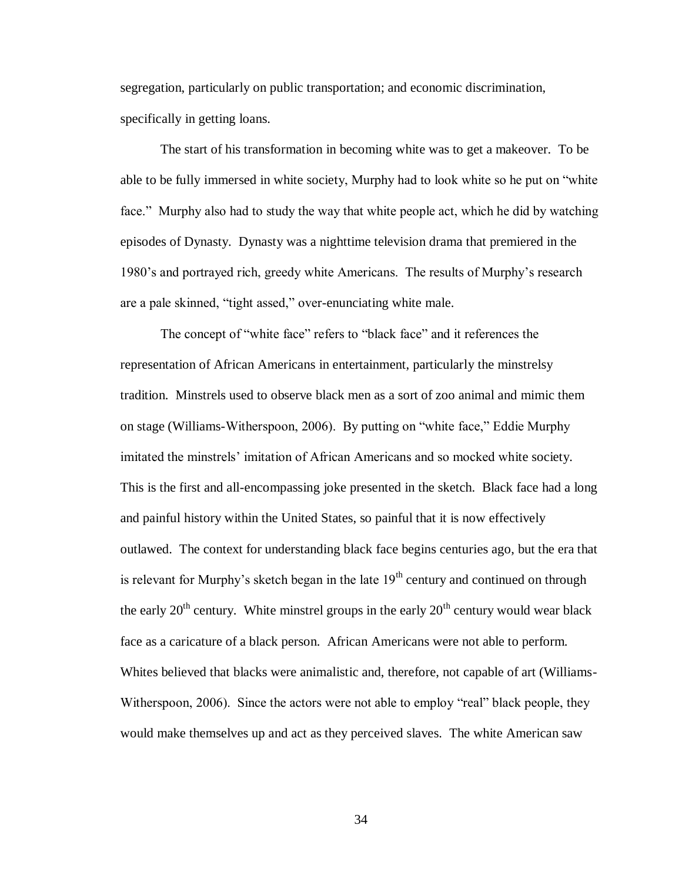segregation, particularly on public transportation; and economic discrimination, specifically in getting loans.

The start of his transformation in becoming white was to get a makeover. To be able to be fully immersed in white society, Murphy had to look white so he put on "white face." Murphy also had to study the way that white people act, which he did by watching episodes of Dynasty. Dynasty was a nighttime television drama that premiered in the 1980's and portrayed rich, greedy white Americans. The results of Murphy's research are a pale skinned, "tight assed," over-enunciating white male.

The concept of "white face" refers to "black face" and it references the representation of African Americans in entertainment, particularly the minstrelsy tradition. Minstrels used to observe black men as a sort of zoo animal and mimic them on stage (Williams-Witherspoon, 2006). By putting on "white face," Eddie Murphy imitated the minstrels' imitation of African Americans and so mocked white society. This is the first and all-encompassing joke presented in the sketch. Black face had a long and painful history within the United States, so painful that it is now effectively outlawed. The context for understanding black face begins centuries ago, but the era that is relevant for Murphy's sketch began in the late  $19<sup>th</sup>$  century and continued on through the early  $20<sup>th</sup>$  century. White minstrel groups in the early  $20<sup>th</sup>$  century would wear black face as a caricature of a black person. African Americans were not able to perform. Whites believed that blacks were animalistic and, therefore, not capable of art (Williams-Witherspoon, 2006). Since the actors were not able to employ "real" black people, they would make themselves up and act as they perceived slaves. The white American saw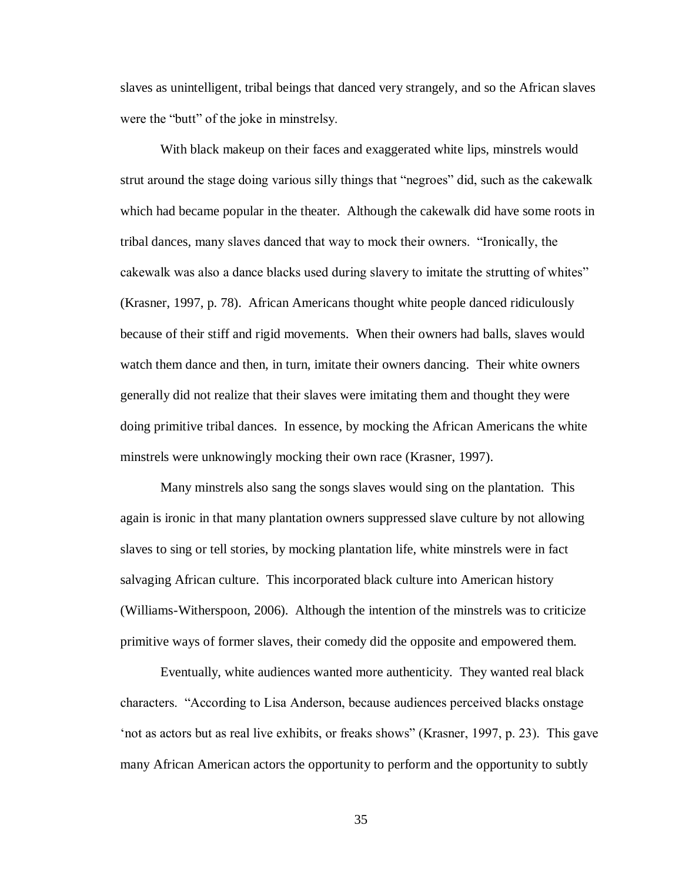slaves as unintelligent, tribal beings that danced very strangely, and so the African slaves were the "butt" of the joke in minstrelsy.

With black makeup on their faces and exaggerated white lips, minstrels would strut around the stage doing various silly things that "negroes" did, such as the cakewalk which had became popular in the theater. Although the cakewalk did have some roots in tribal dances, many slaves danced that way to mock their owners. "Ironically, the cakewalk was also a dance blacks used during slavery to imitate the strutting of whites" (Krasner, 1997, p. 78). African Americans thought white people danced ridiculously because of their stiff and rigid movements. When their owners had balls, slaves would watch them dance and then, in turn, imitate their owners dancing. Their white owners generally did not realize that their slaves were imitating them and thought they were doing primitive tribal dances. In essence, by mocking the African Americans the white minstrels were unknowingly mocking their own race (Krasner, 1997).

Many minstrels also sang the songs slaves would sing on the plantation. This again is ironic in that many plantation owners suppressed slave culture by not allowing slaves to sing or tell stories, by mocking plantation life, white minstrels were in fact salvaging African culture. This incorporated black culture into American history (Williams-Witherspoon, 2006). Although the intention of the minstrels was to criticize primitive ways of former slaves, their comedy did the opposite and empowered them.

Eventually, white audiences wanted more authenticity. They wanted real black characters. "According to Lisa Anderson, because audiences perceived blacks onstage 'not as actors but as real live exhibits, or freaks shows" (Krasner, 1997, p. 23). This gave many African American actors the opportunity to perform and the opportunity to subtly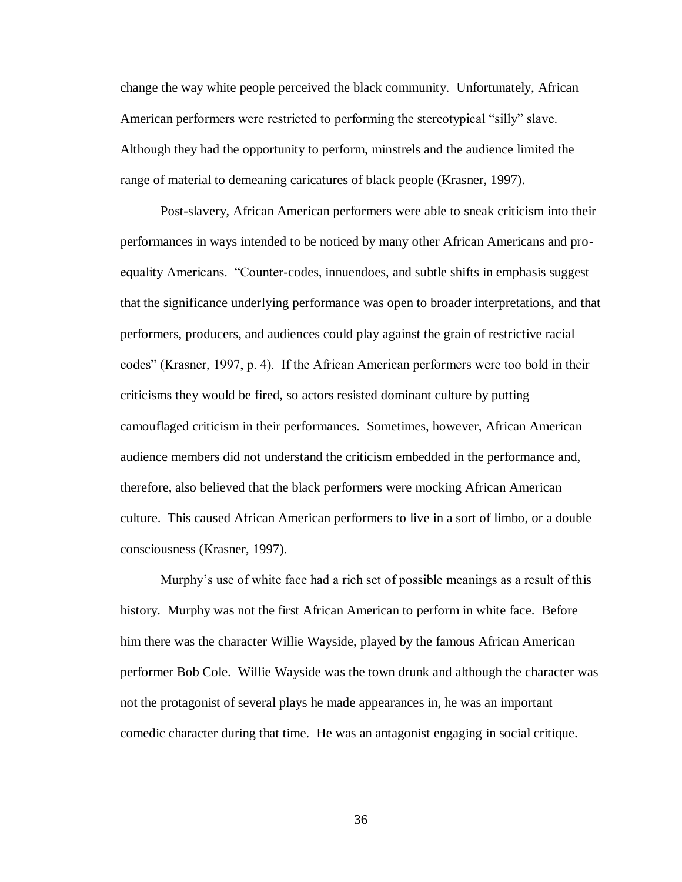change the way white people perceived the black community. Unfortunately, African American performers were restricted to performing the stereotypical "silly" slave. Although they had the opportunity to perform, minstrels and the audience limited the range of material to demeaning caricatures of black people (Krasner, 1997).

Post-slavery, African American performers were able to sneak criticism into their performances in ways intended to be noticed by many other African Americans and proequality Americans. "Counter-codes, innuendoes, and subtle shifts in emphasis suggest that the significance underlying performance was open to broader interpretations, and that performers, producers, and audiences could play against the grain of restrictive racial codes" (Krasner, 1997, p. 4). If the African American performers were too bold in their criticisms they would be fired, so actors resisted dominant culture by putting camouflaged criticism in their performances. Sometimes, however, African American audience members did not understand the criticism embedded in the performance and, therefore, also believed that the black performers were mocking African American culture. This caused African American performers to live in a sort of limbo, or a double consciousness (Krasner, 1997).

Murphy's use of white face had a rich set of possible meanings as a result of this history. Murphy was not the first African American to perform in white face. Before him there was the character Willie Wayside, played by the famous African American performer Bob Cole. Willie Wayside was the town drunk and although the character was not the protagonist of several plays he made appearances in, he was an important comedic character during that time. He was an antagonist engaging in social critique.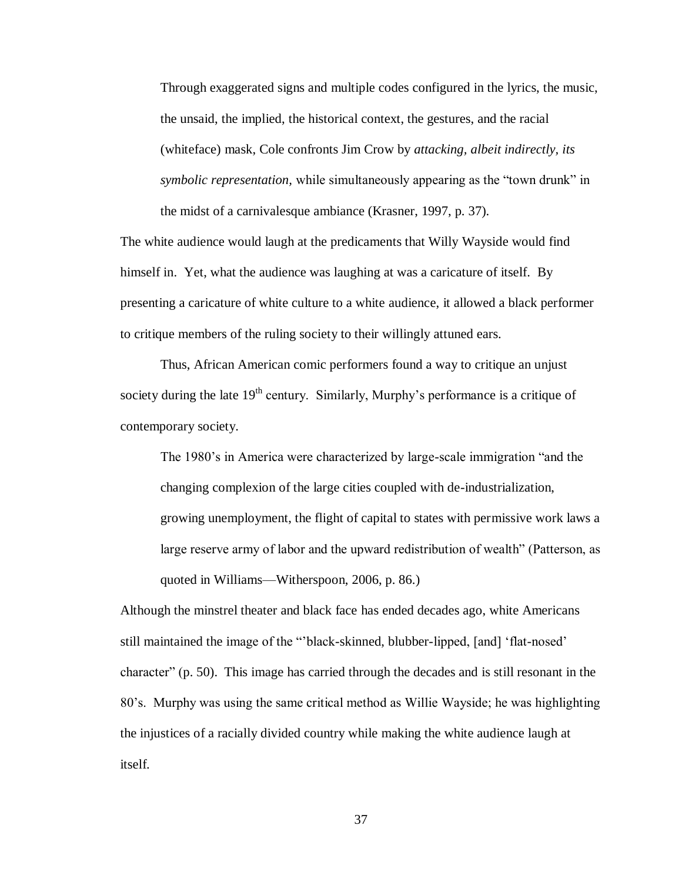Through exaggerated signs and multiple codes configured in the lyrics, the music, the unsaid, the implied, the historical context, the gestures, and the racial (whiteface) mask, Cole confronts Jim Crow by *attacking, albeit indirectly, its symbolic representation,* while simultaneously appearing as the "town drunk" in the midst of a carnivalesque ambiance (Krasner, 1997, p. 37).

The white audience would laugh at the predicaments that Willy Wayside would find himself in. Yet, what the audience was laughing at was a caricature of itself. By presenting a caricature of white culture to a white audience, it allowed a black performer to critique members of the ruling society to their willingly attuned ears.

Thus, African American comic performers found a way to critique an unjust society during the late  $19<sup>th</sup>$  century. Similarly, Murphy's performance is a critique of contemporary society.

The 1980's in America were characterized by large-scale immigration "and the changing complexion of the large cities coupled with de-industrialization, growing unemployment, the flight of capital to states with permissive work laws a large reserve army of labor and the upward redistribution of wealth" (Patterson, as quoted in Williams—Witherspoon, 2006, p. 86.)

Although the minstrel theater and black face has ended decades ago, white Americans still maintained the image of the "'black-skinned, blubber-lipped, [and] 'flat-nosed' character" (p. 50). This image has carried through the decades and is still resonant in the 80's. Murphy was using the same critical method as Willie Wayside; he was highlighting the injustices of a racially divided country while making the white audience laugh at itself.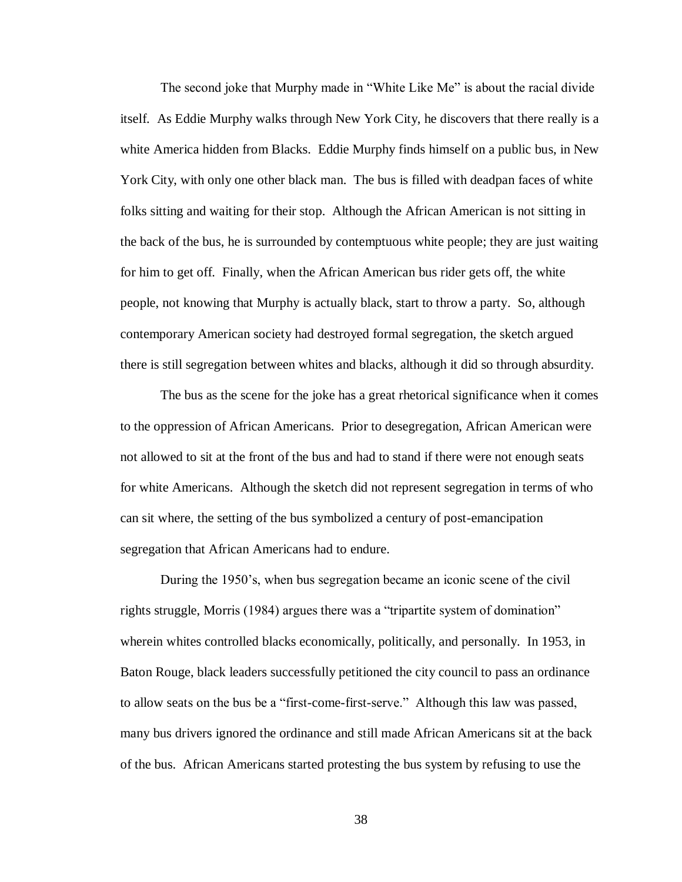The second joke that Murphy made in "White Like Me" is about the racial divide itself. As Eddie Murphy walks through New York City, he discovers that there really is a white America hidden from Blacks. Eddie Murphy finds himself on a public bus, in New York City, with only one other black man. The bus is filled with deadpan faces of white folks sitting and waiting for their stop. Although the African American is not sitting in the back of the bus, he is surrounded by contemptuous white people; they are just waiting for him to get off. Finally, when the African American bus rider gets off, the white people, not knowing that Murphy is actually black, start to throw a party. So, although contemporary American society had destroyed formal segregation, the sketch argued there is still segregation between whites and blacks, although it did so through absurdity.

The bus as the scene for the joke has a great rhetorical significance when it comes to the oppression of African Americans. Prior to desegregation, African American were not allowed to sit at the front of the bus and had to stand if there were not enough seats for white Americans. Although the sketch did not represent segregation in terms of who can sit where, the setting of the bus symbolized a century of post-emancipation segregation that African Americans had to endure.

During the 1950's, when bus segregation became an iconic scene of the civil rights struggle, Morris (1984) argues there was a "tripartite system of domination" wherein whites controlled blacks economically, politically, and personally. In 1953, in Baton Rouge, black leaders successfully petitioned the city council to pass an ordinance to allow seats on the bus be a "first-come-first-serve." Although this law was passed, many bus drivers ignored the ordinance and still made African Americans sit at the back of the bus. African Americans started protesting the bus system by refusing to use the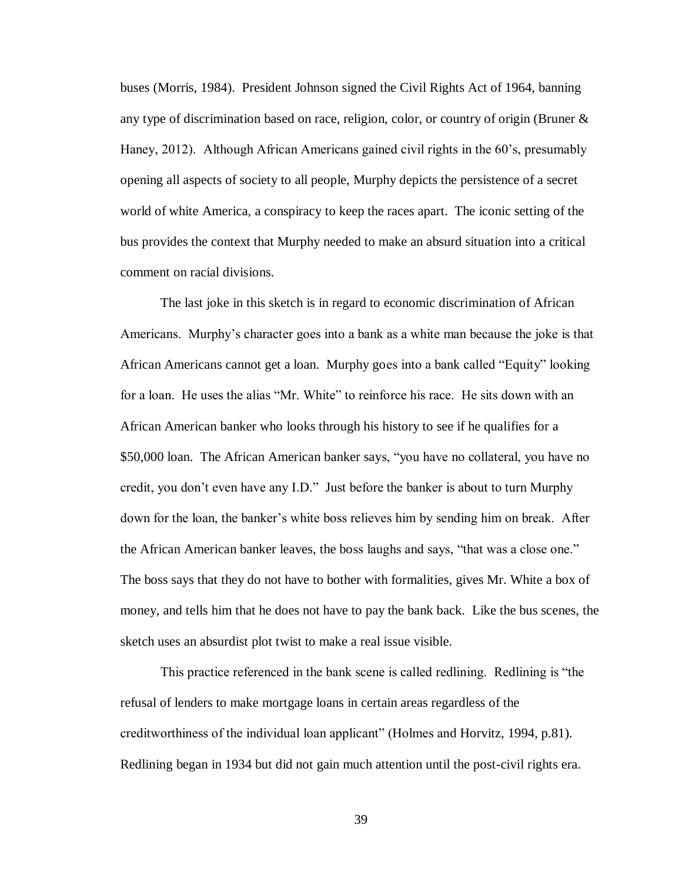buses (Morris, 1984). President Johnson signed the Civil Rights Act of 1964, banning any type of discrimination based on race, religion, color, or country of origin (Bruner & Haney, 2012). Although African Americans gained civil rights in the 60's, presumably opening all aspects of society to all people, Murphy depicts the persistence of a secret world of white America, a conspiracy to keep the races apart. The iconic setting of the bus provides the context that Murphy needed to make an absurd situation into a critical comment on racial divisions.

The last joke in this sketch is in regard to economic discrimination of African Americans. Murphy's character goes into a bank as a white man because the joke is that African Americans cannot get a loan. Murphy goes into a bank called "Equity" looking for a loan. He uses the alias "Mr. White" to reinforce his race. He sits down with an African American banker who looks through his history to see if he qualifies for a \$50,000 loan. The African American banker says, "you have no collateral, you have no credit, you don't even have any I.D." Just before the banker is about to turn Murphy down for the loan, the banker's white boss relieves him by sending him on break. After the African American banker leaves, the boss laughs and says, "that was a close one." The boss says that they do not have to bother with formalities, gives Mr. White a box of money, and tells him that he does not have to pay the bank back. Like the bus scenes, the sketch uses an absurdist plot twist to make a real issue visible.

This practice referenced in the bank scene is called redlining. Redlining is "the refusal of lenders to make mortgage loans in certain areas regardless of the creditworthiness of the individual loan applicant" (Holmes and Horvitz, 1994, p.81). Redlining began in 1934 but did not gain much attention until the post-civil rights era.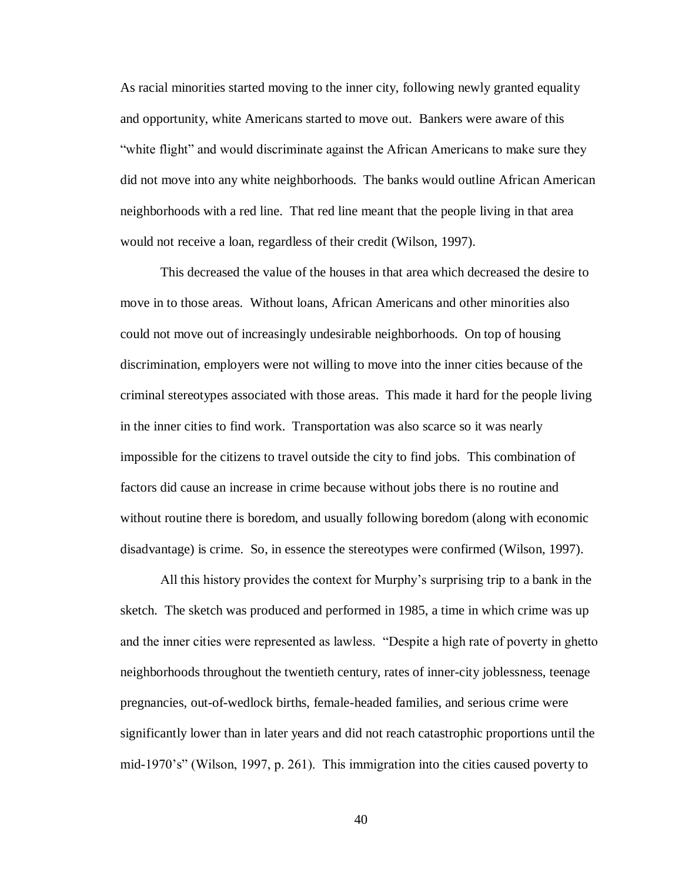As racial minorities started moving to the inner city, following newly granted equality and opportunity, white Americans started to move out. Bankers were aware of this "white flight" and would discriminate against the African Americans to make sure they did not move into any white neighborhoods. The banks would outline African American neighborhoods with a red line. That red line meant that the people living in that area would not receive a loan, regardless of their credit (Wilson, 1997).

This decreased the value of the houses in that area which decreased the desire to move in to those areas. Without loans, African Americans and other minorities also could not move out of increasingly undesirable neighborhoods. On top of housing discrimination, employers were not willing to move into the inner cities because of the criminal stereotypes associated with those areas. This made it hard for the people living in the inner cities to find work. Transportation was also scarce so it was nearly impossible for the citizens to travel outside the city to find jobs. This combination of factors did cause an increase in crime because without jobs there is no routine and without routine there is boredom, and usually following boredom (along with economic disadvantage) is crime. So, in essence the stereotypes were confirmed (Wilson, 1997).

All this history provides the context for Murphy's surprising trip to a bank in the sketch. The sketch was produced and performed in 1985, a time in which crime was up and the inner cities were represented as lawless. "Despite a high rate of poverty in ghetto neighborhoods throughout the twentieth century, rates of inner-city joblessness, teenage pregnancies, out-of-wedlock births, female-headed families, and serious crime were significantly lower than in later years and did not reach catastrophic proportions until the mid-1970's" (Wilson, 1997, p. 261). This immigration into the cities caused poverty to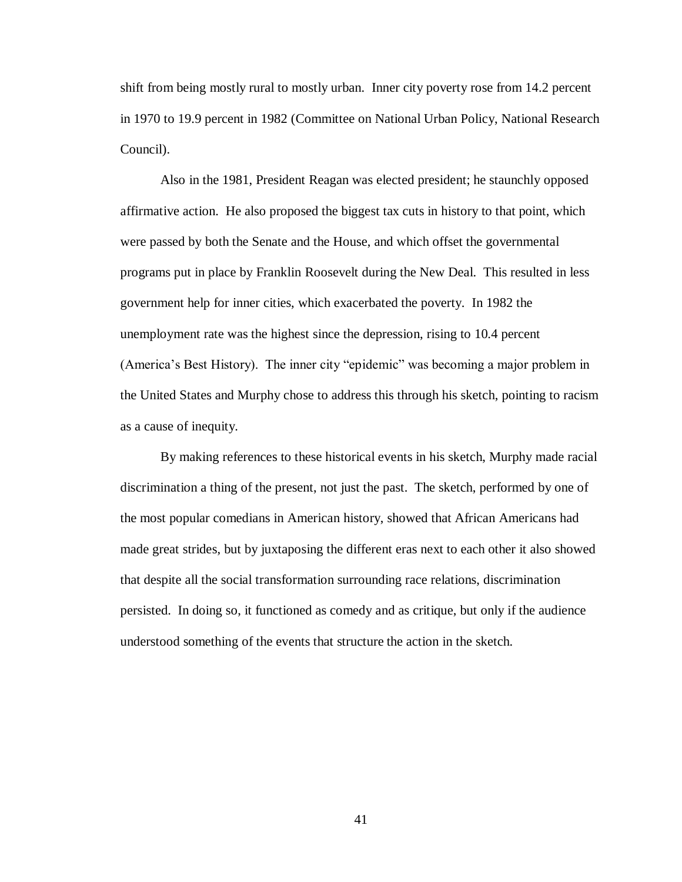shift from being mostly rural to mostly urban. Inner city poverty rose from 14.2 percent in 1970 to 19.9 percent in 1982 (Committee on National Urban Policy, National Research Council).

Also in the 1981, President Reagan was elected president; he staunchly opposed affirmative action. He also proposed the biggest tax cuts in history to that point, which were passed by both the Senate and the House, and which offset the governmental programs put in place by Franklin Roosevelt during the New Deal. This resulted in less government help for inner cities, which exacerbated the poverty. In 1982 the unemployment rate was the highest since the depression, rising to 10.4 percent (America's Best History). The inner city "epidemic" was becoming a major problem in the United States and Murphy chose to address this through his sketch, pointing to racism as a cause of inequity.

By making references to these historical events in his sketch, Murphy made racial discrimination a thing of the present, not just the past. The sketch, performed by one of the most popular comedians in American history, showed that African Americans had made great strides, but by juxtaposing the different eras next to each other it also showed that despite all the social transformation surrounding race relations, discrimination persisted. In doing so, it functioned as comedy and as critique, but only if the audience understood something of the events that structure the action in the sketch.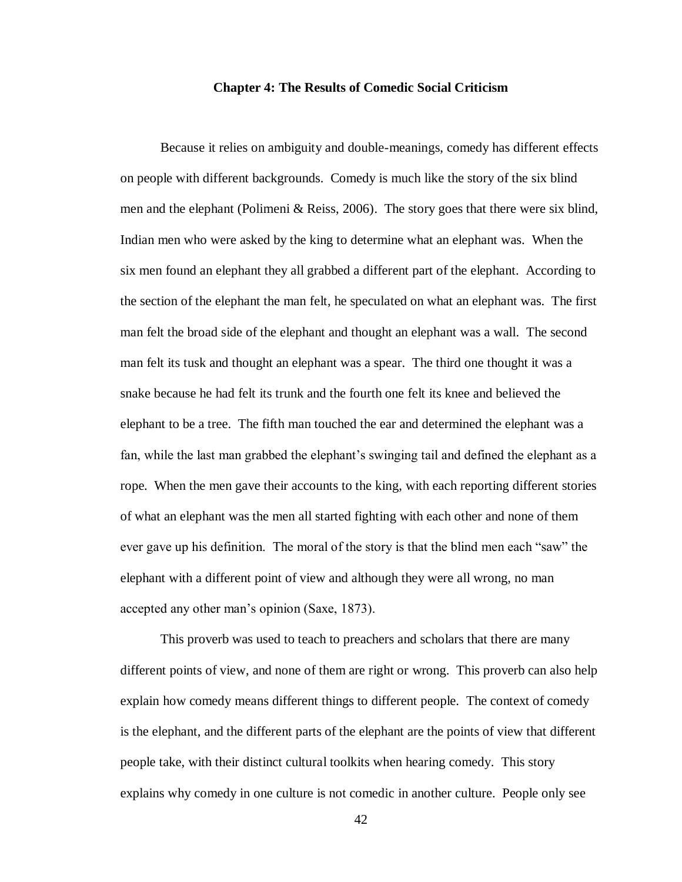#### **Chapter 4: The Results of Comedic Social Criticism**

<span id="page-45-0"></span>Because it relies on ambiguity and double-meanings, comedy has different effects on people with different backgrounds. Comedy is much like the story of the six blind men and the elephant (Polimeni & Reiss, 2006). The story goes that there were six blind, Indian men who were asked by the king to determine what an elephant was. When the six men found an elephant they all grabbed a different part of the elephant. According to the section of the elephant the man felt, he speculated on what an elephant was. The first man felt the broad side of the elephant and thought an elephant was a wall. The second man felt its tusk and thought an elephant was a spear. The third one thought it was a snake because he had felt its trunk and the fourth one felt its knee and believed the elephant to be a tree. The fifth man touched the ear and determined the elephant was a fan, while the last man grabbed the elephant's swinging tail and defined the elephant as a rope. When the men gave their accounts to the king, with each reporting different stories of what an elephant was the men all started fighting with each other and none of them ever gave up his definition. The moral of the story is that the blind men each "saw" the elephant with a different point of view and although they were all wrong, no man accepted any other man's opinion (Saxe, 1873).

This proverb was used to teach to preachers and scholars that there are many different points of view, and none of them are right or wrong. This proverb can also help explain how comedy means different things to different people. The context of comedy is the elephant, and the different parts of the elephant are the points of view that different people take, with their distinct cultural toolkits when hearing comedy. This story explains why comedy in one culture is not comedic in another culture. People only see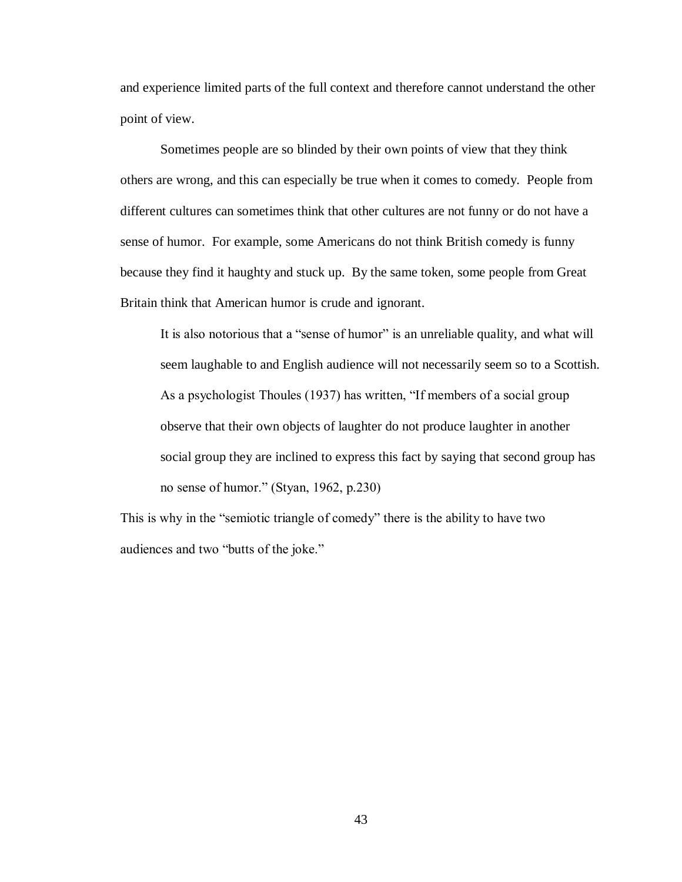and experience limited parts of the full context and therefore cannot understand the other point of view.

Sometimes people are so blinded by their own points of view that they think others are wrong, and this can especially be true when it comes to comedy. People from different cultures can sometimes think that other cultures are not funny or do not have a sense of humor. For example, some Americans do not think British comedy is funny because they find it haughty and stuck up. By the same token, some people from Great Britain think that American humor is crude and ignorant.

It is also notorious that a "sense of humor" is an unreliable quality, and what will seem laughable to and English audience will not necessarily seem so to a Scottish. As a psychologist Thoules (1937) has written, "If members of a social group observe that their own objects of laughter do not produce laughter in another social group they are inclined to express this fact by saying that second group has no sense of humor." (Styan, 1962, p.230)

This is why in the "semiotic triangle of comedy" there is the ability to have two audiences and two "butts of the joke."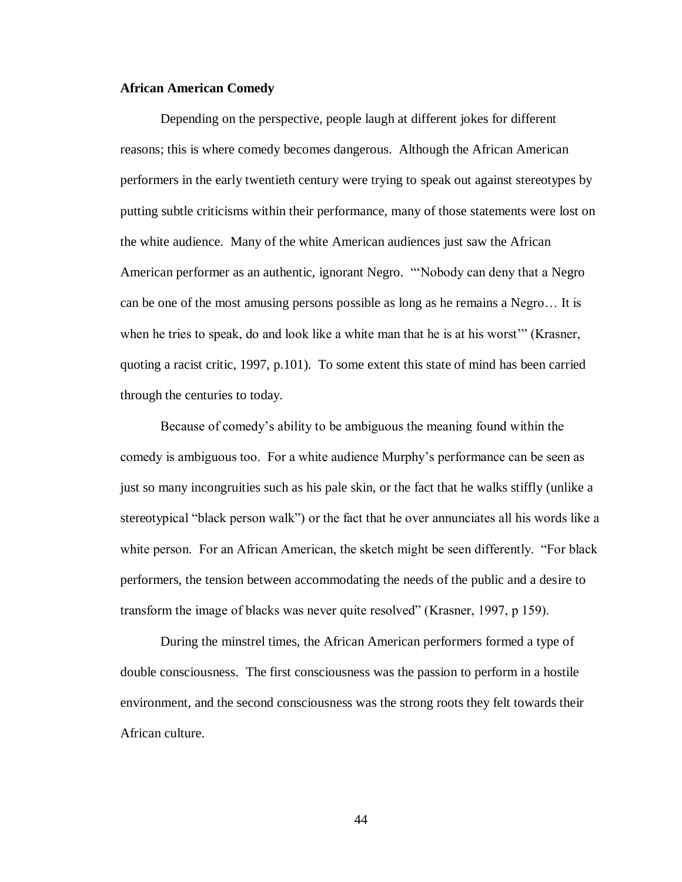## <span id="page-47-0"></span>**African American Comedy**

Depending on the perspective, people laugh at different jokes for different reasons; this is where comedy becomes dangerous. Although the African American performers in the early twentieth century were trying to speak out against stereotypes by putting subtle criticisms within their performance, many of those statements were lost on the white audience. Many of the white American audiences just saw the African American performer as an authentic, ignorant Negro. "'Nobody can deny that a Negro can be one of the most amusing persons possible as long as he remains a Negro… It is when he tries to speak, do and look like a white man that he is at his worst'" (Krasner, quoting a racist critic, 1997, p.101). To some extent this state of mind has been carried through the centuries to today.

Because of comedy's ability to be ambiguous the meaning found within the comedy is ambiguous too. For a white audience Murphy's performance can be seen as just so many incongruities such as his pale skin, or the fact that he walks stiffly (unlike a stereotypical "black person walk") or the fact that he over annunciates all his words like a white person. For an African American, the sketch might be seen differently. "For black performers, the tension between accommodating the needs of the public and a desire to transform the image of blacks was never quite resolved" (Krasner, 1997, p 159).

During the minstrel times, the African American performers formed a type of double consciousness. The first consciousness was the passion to perform in a hostile environment, and the second consciousness was the strong roots they felt towards their African culture.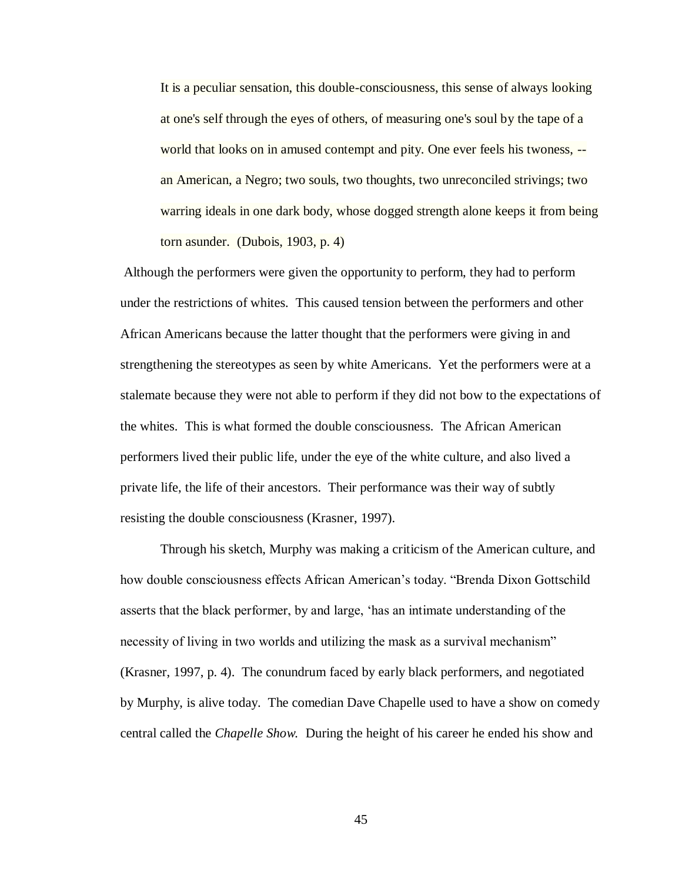It is a peculiar sensation, this double-consciousness, this sense of always looking at one's self through the eyes of others, of measuring one's soul by the tape of a world that looks on in amused contempt and pity. One ever feels his twoness, - an American, a Negro; two souls, two thoughts, two unreconciled strivings; two warring ideals in one dark body, whose dogged strength alone keeps it from being torn asunder. (Dubois, 1903, p. 4)

Although the performers were given the opportunity to perform, they had to perform under the restrictions of whites. This caused tension between the performers and other African Americans because the latter thought that the performers were giving in and strengthening the stereotypes as seen by white Americans. Yet the performers were at a stalemate because they were not able to perform if they did not bow to the expectations of the whites. This is what formed the double consciousness. The African American performers lived their public life, under the eye of the white culture, and also lived a private life, the life of their ancestors. Their performance was their way of subtly resisting the double consciousness (Krasner, 1997).

Through his sketch, Murphy was making a criticism of the American culture, and how double consciousness effects African American's today. "Brenda Dixon Gottschild asserts that the black performer, by and large, 'has an intimate understanding of the necessity of living in two worlds and utilizing the mask as a survival mechanism" (Krasner, 1997, p. 4). The conundrum faced by early black performers, and negotiated by Murphy, is alive today. The comedian Dave Chapelle used to have a show on comedy central called the *Chapelle Show.* During the height of his career he ended his show and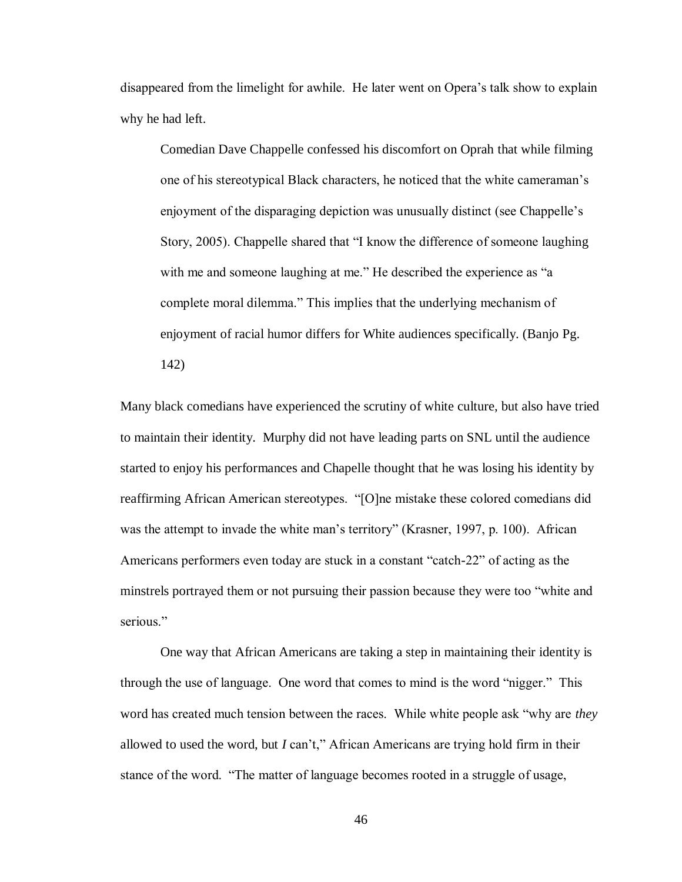disappeared from the limelight for awhile. He later went on Opera's talk show to explain why he had left.

Comedian Dave Chappelle confessed his discomfort on Oprah that while filming one of his stereotypical Black characters, he noticed that the white cameraman's enjoyment of the disparaging depiction was unusually distinct (see Chappelle's Story, 2005). Chappelle shared that "I know the difference of someone laughing with me and someone laughing at me." He described the experience as "a complete moral dilemma." This implies that the underlying mechanism of enjoyment of racial humor differs for White audiences specifically. (Banjo Pg. 142)

Many black comedians have experienced the scrutiny of white culture, but also have tried to maintain their identity. Murphy did not have leading parts on SNL until the audience started to enjoy his performances and Chapelle thought that he was losing his identity by reaffirming African American stereotypes. "[O]ne mistake these colored comedians did was the attempt to invade the white man's territory" (Krasner, 1997, p. 100). African Americans performers even today are stuck in a constant "catch-22" of acting as the minstrels portrayed them or not pursuing their passion because they were too "white and serious."

One way that African Americans are taking a step in maintaining their identity is through the use of language. One word that comes to mind is the word "nigger." This word has created much tension between the races. While white people ask "why are *they*  allowed to used the word, but *I* can't," African Americans are trying hold firm in their stance of the word. "The matter of language becomes rooted in a struggle of usage,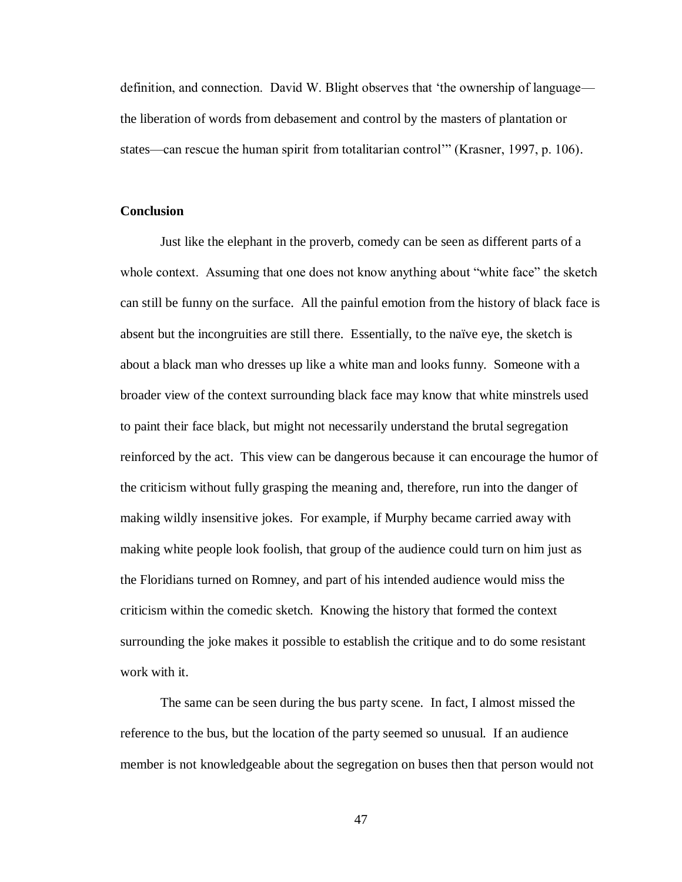definition, and connection. David W. Blight observes that 'the ownership of language the liberation of words from debasement and control by the masters of plantation or states—can rescue the human spirit from totalitarian control'" (Krasner, 1997, p. 106).

#### <span id="page-50-0"></span>**Conclusion**

Just like the elephant in the proverb, comedy can be seen as different parts of a whole context. Assuming that one does not know anything about "white face" the sketch can still be funny on the surface. All the painful emotion from the history of black face is absent but the incongruities are still there. Essentially, to the naïve eye, the sketch is about a black man who dresses up like a white man and looks funny. Someone with a broader view of the context surrounding black face may know that white minstrels used to paint their face black, but might not necessarily understand the brutal segregation reinforced by the act. This view can be dangerous because it can encourage the humor of the criticism without fully grasping the meaning and, therefore, run into the danger of making wildly insensitive jokes. For example, if Murphy became carried away with making white people look foolish, that group of the audience could turn on him just as the Floridians turned on Romney, and part of his intended audience would miss the criticism within the comedic sketch. Knowing the history that formed the context surrounding the joke makes it possible to establish the critique and to do some resistant work with it.

The same can be seen during the bus party scene. In fact, I almost missed the reference to the bus, but the location of the party seemed so unusual. If an audience member is not knowledgeable about the segregation on buses then that person would not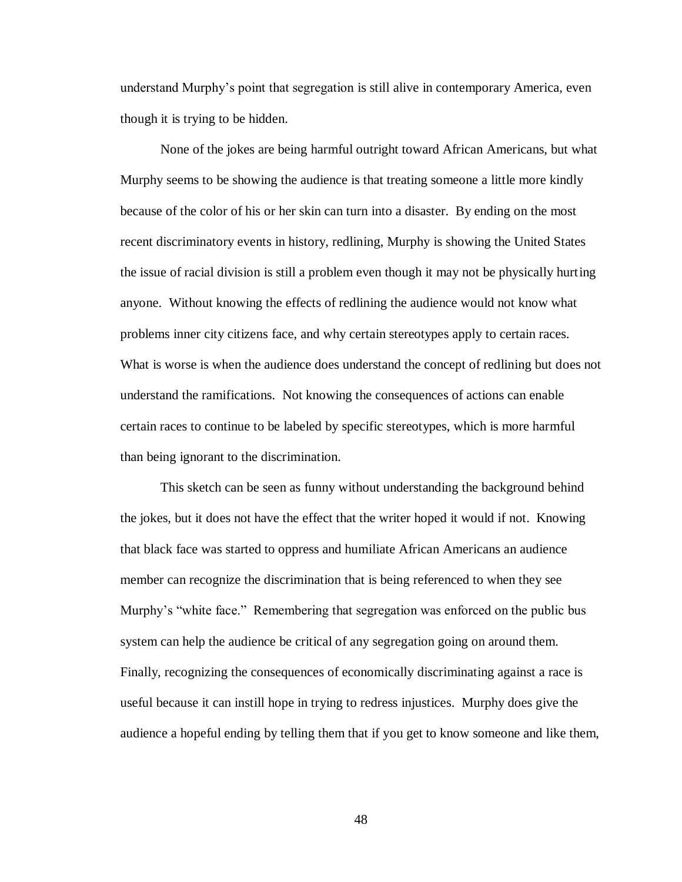understand Murphy's point that segregation is still alive in contemporary America, even though it is trying to be hidden.

None of the jokes are being harmful outright toward African Americans, but what Murphy seems to be showing the audience is that treating someone a little more kindly because of the color of his or her skin can turn into a disaster. By ending on the most recent discriminatory events in history, redlining, Murphy is showing the United States the issue of racial division is still a problem even though it may not be physically hurting anyone. Without knowing the effects of redlining the audience would not know what problems inner city citizens face, and why certain stereotypes apply to certain races. What is worse is when the audience does understand the concept of redlining but does not understand the ramifications. Not knowing the consequences of actions can enable certain races to continue to be labeled by specific stereotypes, which is more harmful than being ignorant to the discrimination.

This sketch can be seen as funny without understanding the background behind the jokes, but it does not have the effect that the writer hoped it would if not. Knowing that black face was started to oppress and humiliate African Americans an audience member can recognize the discrimination that is being referenced to when they see Murphy's "white face." Remembering that segregation was enforced on the public bus system can help the audience be critical of any segregation going on around them. Finally, recognizing the consequences of economically discriminating against a race is useful because it can instill hope in trying to redress injustices. Murphy does give the audience a hopeful ending by telling them that if you get to know someone and like them,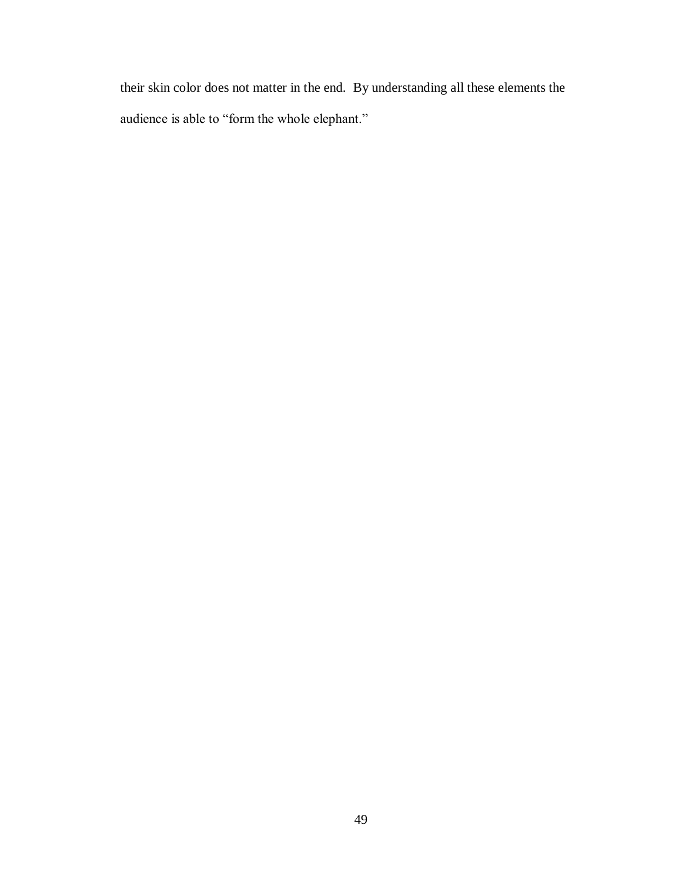their skin color does not matter in the end. By understanding all these elements the audience is able to "form the whole elephant."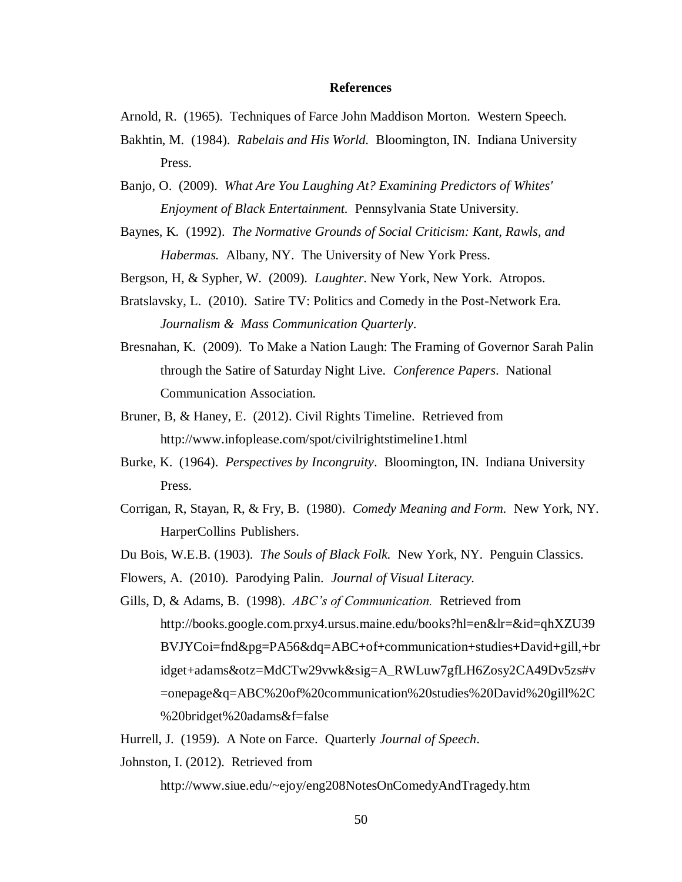#### **References**

<span id="page-53-0"></span>Arnold, R. (1965). Techniques of Farce John Maddison Morton*.* Western Speech.

- Bakhtin, M. (1984). *Rabelais and His World.* Bloomington, IN. Indiana University Press.
- Banjo, O. (2009). *What Are You Laughing At? Examining Predictors of Whites' Enjoyment of Black Entertainment.* Pennsylvania State University.
- Baynes, K. (1992). *The Normative Grounds of Social Criticism: Kant, Rawls, and Habermas.* Albany, NY. The University of New York Press.

Bergson, H, & Sypher, W. (2009). *Laughter*. New York, New York. Atropos.

- Bratslavsky, L. (2010). Satire TV: Politics and Comedy in the Post-Network Era*. Journalism & Mass Communication Quarterly*.
- Bresnahan, K. (2009). To Make a Nation Laugh: The Framing of Governor Sarah Palin through the Satire of Saturday Night Live*. Conference Papers*. National Communication Association.
- Bruner, B, & Haney, E. (2012). Civil Rights Timeline. Retrieved from http://www.infoplease.com/spot/civilrightstimeline1.html
- Burke, K. (1964). *Perspectives by Incongruity*. Bloomington, IN. Indiana University Press.
- Corrigan, R, Stayan, R, & Fry, B. (1980). *Comedy Meaning and Form.* New York, NY. HarperCollins Publishers.
- Du Bois, W.E.B. (1903). *The Souls of Black Folk.* New York, NY. Penguin Classics.
- Flowers, A. (2010). Parodying Palin. *Journal of Visual Literacy.*
- Gills, D, & Adams, B. (1998). *ABC's of Communication.* Retrieved from http://books.google.com.prxy4.ursus.maine.edu/books?hl=en&lr=&id=qhXZU39 BVJYCoi=fnd&pg=PA56&dq=ABC+of+communication+studies+David+gill,+br idget+adams&otz=MdCTw29vwk&sig=A\_RWLuw7gfLH6Zosy2CA49Dv5zs#v =onepage&q=ABC%20of%20communication%20studies%20David%20gill%2C %20bridget%20adams&f=false
- Hurrell, J. (1959). A Note on Farce. Quarterly *Journal of Speech*.

Johnston, I. (2012). Retrieved from

http://www.siue.edu/~ejoy/eng208NotesOnComedyAndTragedy.htm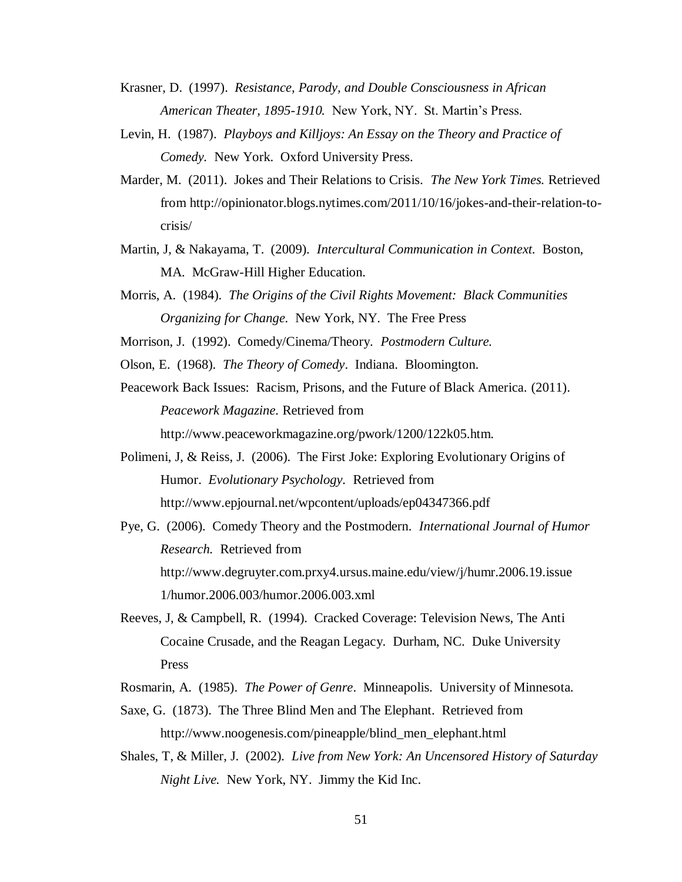- Krasner, D. (1997). *Resistance, Parody, and Double Consciousness in African American Theater, 1895-1910.* New York, NY. St. Martin's Press.
- Levin, H. (1987). *Playboys and Killjoys: An Essay on the Theory and Practice of Comedy.* New York. Oxford University Press.
- Marder, M. (2011). Jokes and Their Relations to Crisis. *The New York Times.* Retrieved from http://opinionator.blogs.nytimes.com/2011/10/16/jokes-and-their-relation-tocrisis/
- Martin, J, & Nakayama, T. (2009). *Intercultural Communication in Context.* Boston, MA. McGraw-Hill Higher Education.
- Morris, A. (1984). *The Origins of the Civil Rights Movement: Black Communities Organizing for Change.* New York, NY. The Free Press

Morrison, J. (1992). Comedy/Cinema/Theory. *Postmodern Culture.*

Olson, E. (1968). *The Theory of Comedy*. Indiana. Bloomington.

Peacework Back Issues: Racism, Prisons, and the Future of Black America. (2011). *Peacework Magazine.* Retrieved from

http://www.peaceworkmagazine.org/pwork/1200/122k05.htm.

- Polimeni, J, & Reiss, J. (2006). The First Joke: Exploring Evolutionary Origins of Humor. *Evolutionary Psychology.* Retrieved from http://www.epjournal.net/wpcontent/uploads/ep04347366.pdf
- Pye, G. (2006). Comedy Theory and the Postmodern*. International Journal of Humor Research.* Retrieved from http://www.degruyter.com.prxy4.ursus.maine.edu/view/j/humr.2006.19.issue 1/humor.2006.003/humor.2006.003.xml
- Reeves, J, & Campbell, R. (1994). Cracked Coverage: Television News, The Anti Cocaine Crusade, and the Reagan Legacy. Durham, NC. Duke University Press
- Rosmarin, A. (1985). *The Power of Genre*. Minneapolis. University of Minnesota.
- Saxe, G. (1873). The Three Blind Men and The Elephant. Retrieved from http://www.noogenesis.com/pineapple/blind\_men\_elephant.html
- Shales, T, & Miller, J. (2002). *Live from New York: An Uncensored History of Saturday Night Live.* New York, NY. Jimmy the Kid Inc.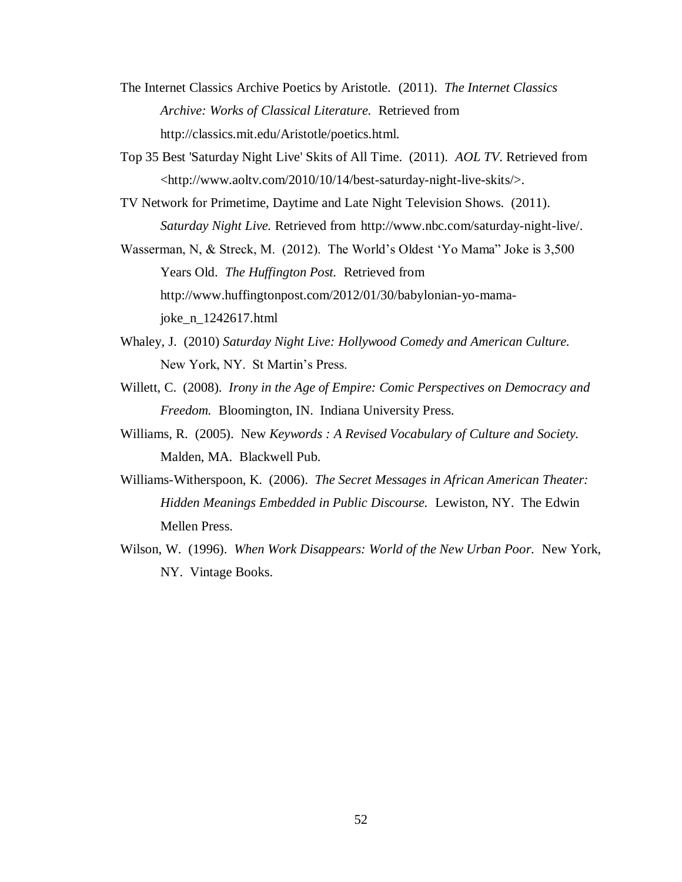- The Internet Classics Archive Poetics by Aristotle. (2011). *The Internet Classics Archive: Works of Classical Literature.* Retrieved from http://classics.mit.edu/Aristotle/poetics.html.
- Top 35 Best 'Saturday Night Live' Skits of All Time. (2011). *AOL TV*. Retrieved from <http://www.aoltv.com/2010/10/14/best-saturday-night-live-skits/>.
- TV Network for Primetime, Daytime and Late Night Television Shows. (2011). *Saturday Night Live.* Retrieved from http://www.nbc.com/saturday-night-live/.
- Wasserman, N, & Streck, M. (2012). The World's Oldest 'Yo Mama" Joke is 3,500 Years Old. *The Huffington Post.* Retrieved from http://www.huffingtonpost.com/2012/01/30/babylonian-yo-mamajoke\_n\_1242617.html
- Whaley, J. (2010) *Saturday Night Live: Hollywood Comedy and American Culture.* New York, NY. St Martin's Press.
- Willett, C. (2008). *Irony in the Age of Empire: Comic Perspectives on Democracy and Freedom.* Bloomington, IN. Indiana University Press.
- Williams, R. (2005). New *Keywords : A Revised Vocabulary of Culture and Society.* Malden, MA. Blackwell Pub.
- Williams-Witherspoon, K. (2006). *The Secret Messages in African American Theater: Hidden Meanings Embedded in Public Discourse.* Lewiston, NY. The Edwin Mellen Press.
- Wilson, W. (1996). *When Work Disappears: World of the New Urban Poor.* New York, NY. Vintage Books.